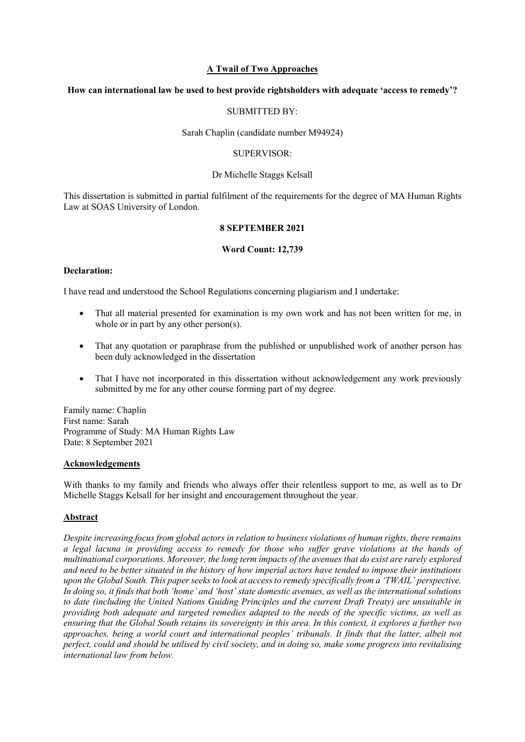#### **A Twail of Two Approaches**

### **How can international law be used to best provide rightsholders with adequate 'access to remedy'?**

### SUBMITTED BY:

#### Sarah Chaplin (candidate number M94924)

#### SUPERVISOR:

#### Dr Michelle Staggs Kelsall

This dissertation is submitted in partial fulfilment of the requirements for the degree of MA Human Rights Law at SOAS University of London.

#### **8 SEPTEMBER 2021**

#### **Word Count: 12,739**

#### **Declaration:**

I have read and understood the School Regulations concerning plagiarism and I undertake:

- That all material presented for examination is my own work and has not been written for me, in whole or in part by any other person(s).
- That any quotation or paraphrase from the published or unpublished work of another person has been duly acknowledged in the dissertation
- That I have not incorporated in this dissertation without acknowledgement any work previously submitted by me for any other course forming part of my degree.

Family name: Chaplin First name: Sarah Programme of Study: MA Human Rights Law Date: 8 September 2021

#### **Acknowledgements**

With thanks to my family and friends who always offer their relentless support to me, as well as to Dr Michelle Staggs Kelsall for her insight and encouragement throughout the year.

### **Abstract**

*Despite increasing focus from global actors in relation to business violations of human rights, there remains a legal lacuna in providing access to remedy for those who suffer grave violations at the hands of multinational corporations. Moreover, the long term impacts of the avenues that do exist are rarely explored and need to be better situated in the history of how imperial actors have tended to impose their institutions upon the Global South. This paper seeks to look at access to remedy specifically from a 'TWAIL' perspective. In doing so, it finds that both 'home' and 'host' state domestic avenues, as well as the international solutions to date (including the United Nations Guiding Principles and the current Draft Treaty) are unsuitable in providing both adequate and targeted remedies adapted to the needs of the specific victims, as well as ensuring that the Global South retains its sovereignty in this area. In this context, it explores a further two approaches, being a world court and international peoples' tribunals. It finds that the latter, albeit not perfect, could and should be utilised by civil society, and in doing so, make some progress into revitalising international law from below.*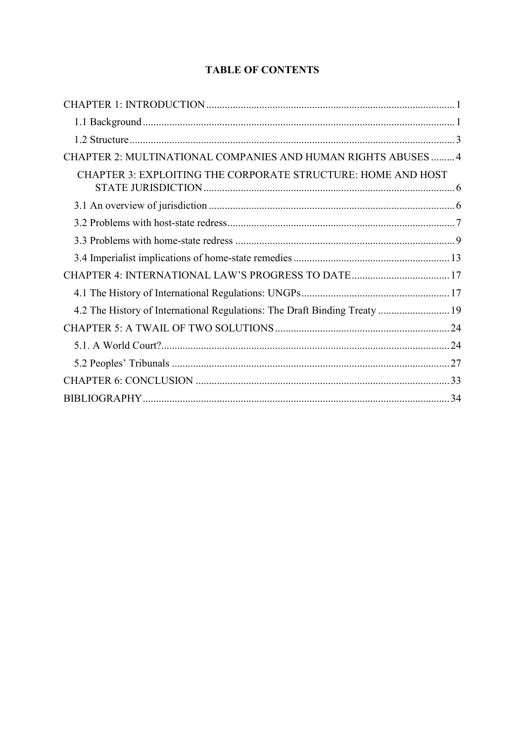# **TABLE OF CONTENTS**

| CHAPTER 2: MULTINATIONAL COMPANIES AND HUMAN RIGHTS ABUSES  4              |
|----------------------------------------------------------------------------|
| CHAPTER 3: EXPLOITING THE CORPORATE STRUCTURE: HOME AND HOST               |
|                                                                            |
|                                                                            |
|                                                                            |
|                                                                            |
| CHAPTER 4: INTERNATIONAL LAW'S PROGRESS TO DATE  17                        |
|                                                                            |
| 4.2 The History of International Regulations: The Draft Binding Treaty  19 |
|                                                                            |
|                                                                            |
|                                                                            |
|                                                                            |
|                                                                            |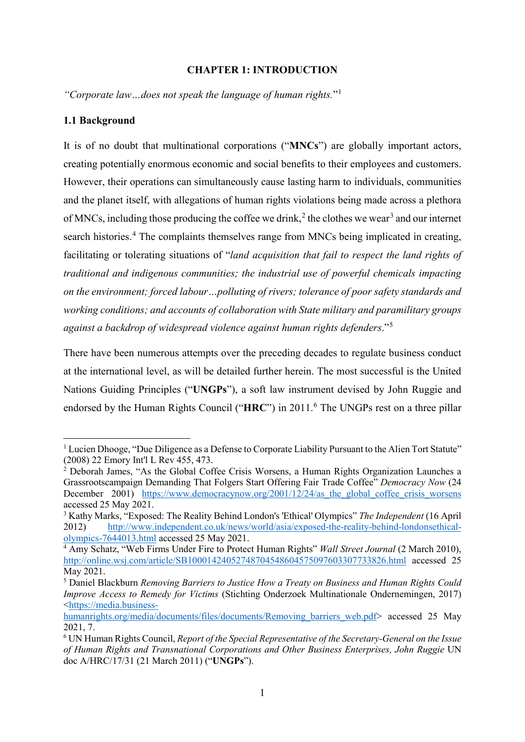### <span id="page-2-0"></span>**CHAPTER 1: INTRODUCTION**

*"Corporate law…does not speak the language of human rights.*"[1](#page-2-2)

### <span id="page-2-1"></span>**1.1 Background**

It is of no doubt that multinational corporations ("**MNCs**") are globally important actors, creating potentially enormous economic and social benefits to their employees and customers. However, their operations can simultaneously cause lasting harm to individuals, communities and the planet itself, with allegations of human rights violations being made across a plethora of MNCs, including those producing the coffee we drink,<sup>[2](#page-2-3)</sup> the clothes we wear<sup>[3](#page-2-4)</sup> and our internet search histories.<sup>[4](#page-2-5)</sup> The complaints themselves range from MNCs being implicated in creating, facilitating or tolerating situations of "*land acquisition that fail to respect the land rights of traditional and indigenous communities; the industrial use of powerful chemicals impacting on the environment; forced labour…polluting of rivers; tolerance of poor safety standards and working conditions; and accounts of collaboration with State military and paramilitary groups against a backdrop of widespread violence against human rights defenders*."[5](#page-2-6)

There have been numerous attempts over the preceding decades to regulate business conduct at the international level, as will be detailed further herein. The most successful is the United Nations Guiding Principles ("**UNGPs**"), a soft law instrument devised by John Ruggie and endorsed by the Human Rights Council ("HRC") in 2011.<sup>[6](#page-2-7)</sup> The UNGPs rest on a three pillar

<span id="page-2-2"></span><sup>&</sup>lt;sup>1</sup> Lucien Dhooge, "Due Diligence as a Defense to Corporate Liability Pursuant to the Alien Tort Statute" (2008) 22 Emory Int'l L Rev 455, 473.

<span id="page-2-3"></span><sup>&</sup>lt;sup>2</sup> Deborah James, "As the Global Coffee Crisis Worsens, a Human Rights Organization Launches a Grassrootscampaign Demanding That Folgers Start Offering Fair Trade Coffee" *Democracy Now* (24 December 2001) https://www.democracynow.org/2001/12/24/as the global coffee crisis worsens accessed 25 May 2021.

<span id="page-2-4"></span><sup>3</sup> Kathy Marks, "Exposed: The Reality Behind London's 'Ethical' Olympics" *The Independent* (16 April 2012) [http://www.independent.co.uk/news/world/asia/exposed-the-reality-behind-londonsethical](http://www.independent.co.uk/news/world/asia/exposed-the-reality-behind-londonsethical-olympics-7644013.html)[olympics-7644013.html](http://www.independent.co.uk/news/world/asia/exposed-the-reality-behind-londonsethical-olympics-7644013.html) accessed 25 May 2021.

<span id="page-2-5"></span><sup>4</sup> Amy Schatz, "Web Firms Under Fire to Protect Human Rights" *Wall Street Journal* (2 March 2010), <http://online.wsj.com/article/SB10001424052748704548604575097603307733826.html> accessed 25 May 2021.

<span id="page-2-6"></span><sup>5</sup> Daniel Blackburn *Removing Barriers to Justice How a Treaty on Business and Human Rights Could Improve Access to Remedy for Victims* (Stichting Onderzoek Multinationale Ondernemingen, 2017) [<https://media.business-](https://media.business-humanrights.org/media/documents/files/documents/Removing_barriers_web.pdf)

[humanrights.org/media/documents/files/documents/Removing\\_barriers\\_web.pdf>](https://media.business-humanrights.org/media/documents/files/documents/Removing_barriers_web.pdf) accessed 25 May 2021, 7.

<span id="page-2-7"></span><sup>6</sup> UN Human Rights Council, *Report of the Special Representative of the Secretary-General on the Issue of Human Rights and Transnational Corporations and Other Business Enterprises, John Ruggie* UN doc A/HRC/17/31 (21 March 2011) ("**UNGPs**").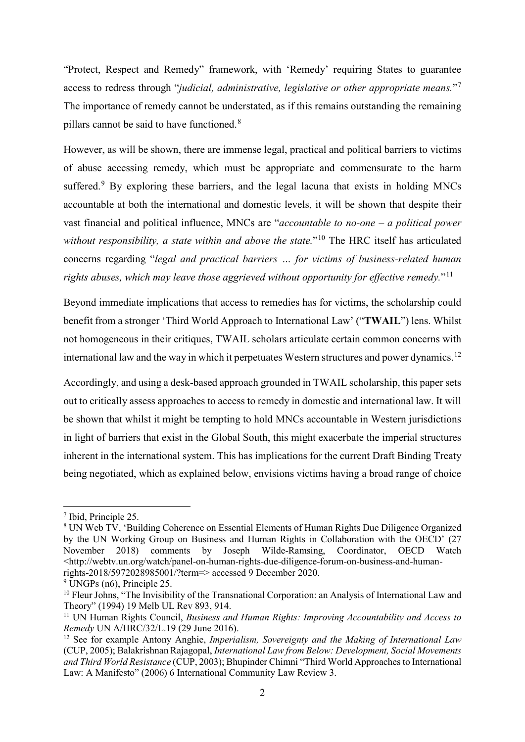"Protect, Respect and Remedy" framework, with 'Remedy' requiring States to guarantee access to redress through "*judicial, administrative, legislative or other appropriate means.*"[7](#page-3-0) The importance of remedy cannot be understated, as if this remains outstanding the remaining pillars cannot be said to have functioned.<sup>[8](#page-3-1)</sup>

However, as will be shown, there are immense legal, practical and political barriers to victims of abuse accessing remedy, which must be appropriate and commensurate to the harm suffered.<sup>[9](#page-3-2)</sup> By exploring these barriers, and the legal lacuna that exists in holding MNCs accountable at both the international and domestic levels, it will be shown that despite their vast financial and political influence, MNCs are "*accountable to no-one – a political power*  without responsibility, a state within and above the state."<sup>[10](#page-3-3)</sup> The HRC itself has articulated concerns regarding "*legal and practical barriers … for victims of business-related human rights abuses, which may leave those aggrieved without opportunity for effective remedy.*"[11](#page-3-4)

Beyond immediate implications that access to remedies has for victims, the scholarship could benefit from a stronger 'Third World Approach to International Law' ("**TWAIL**") lens. Whilst not homogeneous in their critiques, TWAIL scholars articulate certain common concerns with international law and the way in which it perpetuates Western structures and power dynamics.<sup>[12](#page-3-5)</sup>

Accordingly, and using a desk-based approach grounded in TWAIL scholarship, this paper sets out to critically assess approaches to access to remedy in domestic and international law. It will be shown that whilst it might be tempting to hold MNCs accountable in Western jurisdictions in light of barriers that exist in the Global South, this might exacerbate the imperial structures inherent in the international system. This has implications for the current Draft Binding Treaty being negotiated, which as explained below, envisions victims having a broad range of choice

<span id="page-3-0"></span> <sup>7</sup> Ibid, Principle 25.

<span id="page-3-1"></span><sup>&</sup>lt;sup>8</sup> UN Web TV, 'Building Coherence on Essential Elements of Human Rights Due Diligence Organized by the UN Working Group on Business and Human Rights in Collaboration with the OECD' (27 November 2018) comments by Joseph Wilde-Ramsing, Coordinator, OECD Watch <http://webtv.un.org/watch/panel-on-human-rights-due-diligence-forum-on-business-and-humanrights-2018/5972028985001/?term=> accessed 9 December 2020.

<span id="page-3-2"></span><sup>&</sup>lt;sup>9</sup> UNGPs (n6), Principle 25.

<span id="page-3-3"></span><sup>&</sup>lt;sup>10</sup> Fleur Johns, "The Invisibility of the Transnational Corporation: an Analysis of International Law and Theory" (1994) 19 Melb UL Rev 893, 914.

<span id="page-3-4"></span><sup>11</sup> UN Human Rights Council, *Business and Human Rights: Improving Accountability and Access to Remedy* UN A/HRC/32/L.19 (29 June 2016).

<span id="page-3-5"></span><sup>12</sup> See for example Antony Anghie, *Imperialism, Sovereignty and the Making of International Law* (CUP, 2005); Balakrishnan Rajagopal, *International Law from Below: Development, Social Movements and Third World Resistance* (CUP, 2003); Bhupinder Chimni "Third World Approaches to International Law: A Manifesto" (2006) 6 International Community Law Review 3.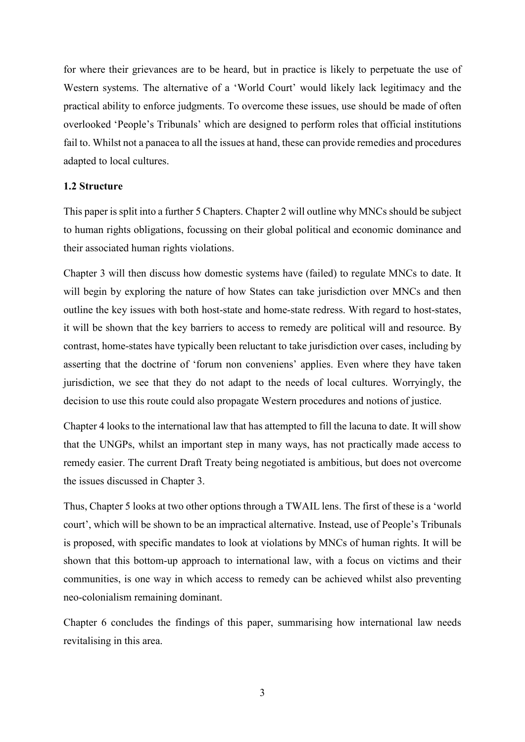for where their grievances are to be heard, but in practice is likely to perpetuate the use of Western systems. The alternative of a 'World Court' would likely lack legitimacy and the practical ability to enforce judgments. To overcome these issues, use should be made of often overlooked 'People's Tribunals' which are designed to perform roles that official institutions fail to. Whilst not a panacea to all the issues at hand, these can provide remedies and procedures adapted to local cultures.

### <span id="page-4-0"></span>**1.2 Structure**

This paper is split into a further 5 Chapters. Chapter 2 will outline why MNCs should be subject to human rights obligations, focussing on their global political and economic dominance and their associated human rights violations.

Chapter 3 will then discuss how domestic systems have (failed) to regulate MNCs to date. It will begin by exploring the nature of how States can take jurisdiction over MNCs and then outline the key issues with both host-state and home-state redress. With regard to host-states, it will be shown that the key barriers to access to remedy are political will and resource. By contrast, home-states have typically been reluctant to take jurisdiction over cases, including by asserting that the doctrine of 'forum non conveniens' applies. Even where they have taken jurisdiction, we see that they do not adapt to the needs of local cultures. Worryingly, the decision to use this route could also propagate Western procedures and notions of justice.

Chapter 4 looks to the international law that has attempted to fill the lacuna to date. It will show that the UNGPs, whilst an important step in many ways, has not practically made access to remedy easier. The current Draft Treaty being negotiated is ambitious, but does not overcome the issues discussed in Chapter 3.

Thus, Chapter 5 looks at two other options through a TWAIL lens. The first of these is a 'world court', which will be shown to be an impractical alternative. Instead, use of People's Tribunals is proposed, with specific mandates to look at violations by MNCs of human rights. It will be shown that this bottom-up approach to international law, with a focus on victims and their communities, is one way in which access to remedy can be achieved whilst also preventing neo-colonialism remaining dominant.

Chapter 6 concludes the findings of this paper, summarising how international law needs revitalising in this area.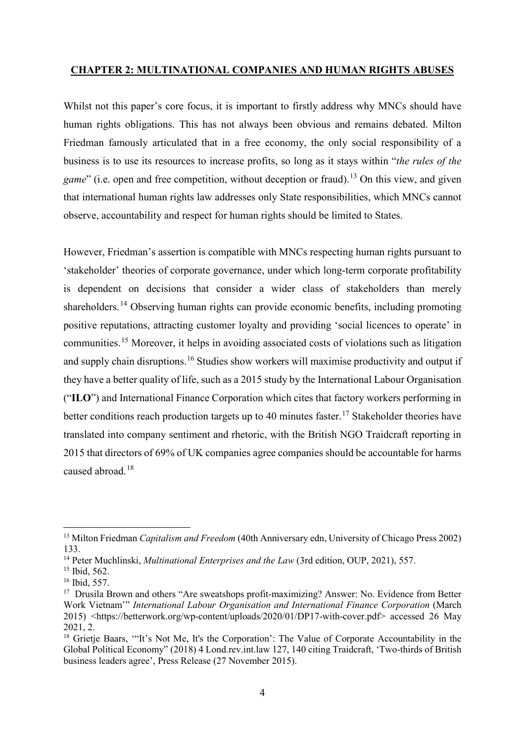### <span id="page-5-0"></span>**CHAPTER 2: MULTINATIONAL COMPANIES AND HUMAN RIGHTS ABUSES**

Whilst not this paper's core focus, it is important to firstly address why MNCs should have human rights obligations. This has not always been obvious and remains debated. Milton Friedman famously articulated that in a free economy, the only social responsibility of a business is to use its resources to increase profits, so long as it stays within "*the rules of the game*" (i.e. open and free competition, without deception or fraud).<sup>[13](#page-5-1)</sup> On this view, and given that international human rights law addresses only State responsibilities, which MNCs cannot observe, accountability and respect for human rights should be limited to States.

However, Friedman's assertion is compatible with MNCs respecting human rights pursuant to 'stakeholder' theories of corporate governance, under which long-term corporate profitability is dependent on decisions that consider a wider class of stakeholders than merely shareholders.<sup>[14](#page-5-2)</sup> Observing human rights can provide economic benefits, including promoting positive reputations, attracting customer loyalty and providing 'social licences to operate' in communities.[15](#page-5-3) Moreover, it helps in avoiding associated costs of violations such as litigation and supply chain disruptions.<sup>[16](#page-5-4)</sup> Studies show workers will maximise productivity and output if they have a better quality of life, such as a 2015 study by the International Labour Organisation ("**ILO**") and International Finance Corporation which cites that factory workers performing in better conditions reach production targets up to 40 minutes faster.<sup>[17](#page-5-5)</sup> Stakeholder theories have translated into company sentiment and rhetoric, with the British NGO Traidcraft reporting in 2015 that directors of 69% of UK companies agree companies should be accountable for harms caused abroad.[18](#page-5-6)

<span id="page-5-1"></span><sup>&</sup>lt;sup>13</sup> Milton Friedman *Capitalism and Freedom* (40th Anniversary edn, University of Chicago Press 2002) 133.

<span id="page-5-2"></span><sup>14</sup> Peter Muchlinski, *Multinational Enterprises and the Law* (3rd edition, OUP, 2021), 557.

<span id="page-5-3"></span><sup>&</sup>lt;sup>15</sup> Ibid, 562.

<span id="page-5-4"></span><sup>16</sup> Ibid, 557.

<span id="page-5-5"></span><sup>&</sup>lt;sup>17</sup> Drusila Brown and others "Are sweatshops profit-maximizing? Answer: No. Evidence from Better Work Vietnam'" *International Labour Organisation and International Finance Corporation* (March 2015) <https://betterwork.org/wp-content/uploads/2020/01/DP17-with-cover.pdf> accessed 26 May 2021, 2.

<span id="page-5-6"></span><sup>&</sup>lt;sup>18</sup> Grietje Baars, "It's Not Me, It's the Corporation': The Value of Corporate Accountability in the Global Political Economy" (2018) 4 Lond.rev.int.law 127, 140 citing Traidcraft, 'Two-thirds of British business leaders agree', Press Release (27 November 2015).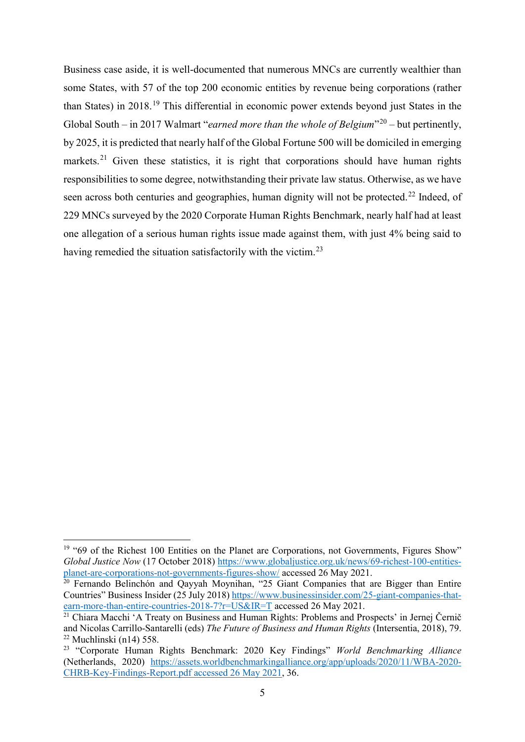Business case aside, it is well-documented that numerous MNCs are currently wealthier than some States, with 57 of the top 200 economic entities by revenue being corporations (rather than States) in 2018.[19](#page-6-0) This differential in economic power extends beyond just States in the Global South – in [20](#page-6-1)17 Walmart "*earned more than the whole of Belgium*"<sup>20</sup> – but pertinently, by 2025, it is predicted that nearly half of the Global Fortune 500 will be domiciled in emerging markets.<sup>[21](#page-6-2)</sup> Given these statistics, it is right that corporations should have human rights responsibilities to some degree, notwithstanding their private law status. Otherwise, as we have seen across both centuries and geographies, human dignity will not be protected.<sup>[22](#page-6-3)</sup> Indeed, of 229 MNCs surveyed by the 2020 Corporate Human Rights Benchmark, nearly half had at least one allegation of a serious human rights issue made against them, with just 4% being said to having remedied the situation satisfactorily with the victim.<sup>[23](#page-6-4)</sup>

<span id="page-6-0"></span><sup>&</sup>lt;sup>19</sup> "69 of the Richest 100 Entities on the Planet are Corporations, not Governments, Figures Show" *Global Justice Now* (17 October 2018) [https://www.globaljustice.org.uk/news/69-richest-100-entities](https://www.globaljustice.org.uk/news/69-richest-100-entities-planet-are-corporations-not-governments-figures-show/)[planet-are-corporations-not-governments-figures-show/](https://www.globaljustice.org.uk/news/69-richest-100-entities-planet-are-corporations-not-governments-figures-show/) accessed 26 May 2021.

<span id="page-6-1"></span><sup>&</sup>lt;sup>20</sup> Fernando Belinchón and Qayyah Moynihan, "25 Giant Companies that are Bigger than Entire Countries" Business Insider (25 July 2018) [https://www.businessinsider.com/25-giant-companies-that](https://www.businessinsider.com/25-giant-companies-that-earn-more-than-entire-countries-2018-7?r=US&IR=T)[earn-more-than-entire-countries-2018-7?r=US&IR=T](https://www.businessinsider.com/25-giant-companies-that-earn-more-than-entire-countries-2018-7?r=US&IR=T) accessed 26 May 2021.

<span id="page-6-2"></span><sup>&</sup>lt;sup>21</sup> Chiara Macchi 'A Treaty on Business and Human Rights: Problems and Prospects' in Jernej Černič and Nicolas Carrillo-Santarelli (eds) *The Future of Business and Human Rights* (Intersentia, 2018), 79.  $22$  Muchlinski (n14) 558.

<span id="page-6-4"></span><span id="page-6-3"></span><sup>23</sup> "Corporate Human Rights Benchmark: 2020 Key Findings" *World Benchmarking Alliance* (Netherlands, 2020) [https://assets.worldbenchmarkingalliance.org/app/uploads/2020/11/WBA-2020-](https://assets.worldbenchmarkingalliance.org/app/uploads/2020/11/WBA-2020-CHRB-Key-Findings-Report.pdf%20accessed%2026%20May%202021) [CHRB-Key-Findings-Report.pdf accessed 26 May 2021,](https://assets.worldbenchmarkingalliance.org/app/uploads/2020/11/WBA-2020-CHRB-Key-Findings-Report.pdf%20accessed%2026%20May%202021) 36.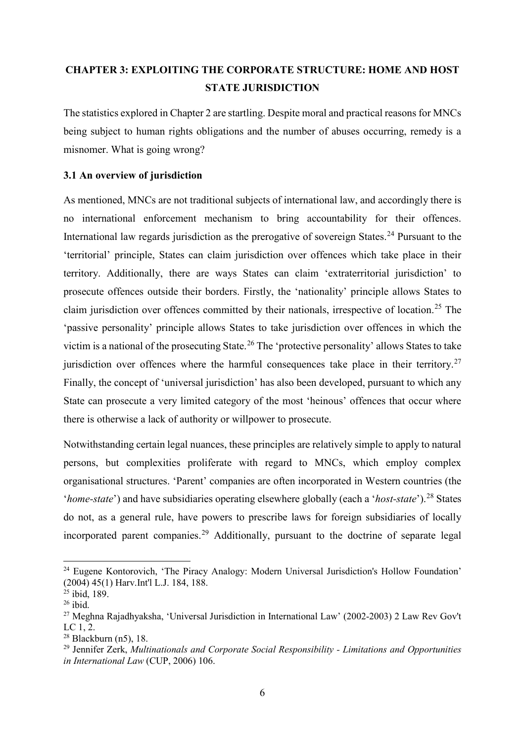# <span id="page-7-0"></span>**CHAPTER 3: EXPLOITING THE CORPORATE STRUCTURE: HOME AND HOST STATE JURISDICTION**

The statistics explored in Chapter 2 are startling. Despite moral and practical reasons for MNCs being subject to human rights obligations and the number of abuses occurring, remedy is a misnomer. What is going wrong?

# <span id="page-7-1"></span>**3.1 An overview of jurisdiction**

As mentioned, MNCs are not traditional subjects of international law, and accordingly there is no international enforcement mechanism to bring accountability for their offences. International law regards jurisdiction as the prerogative of sovereign States.<sup>[24](#page-7-2)</sup> Pursuant to the 'territorial' principle, States can claim jurisdiction over offences which take place in their territory. Additionally, there are ways States can claim 'extraterritorial jurisdiction' to prosecute offences outside their borders. Firstly, the 'nationality' principle allows States to claim jurisdiction over offences committed by their nationals, irrespective of location.<sup>[25](#page-7-3)</sup> The 'passive personality' principle allows States to take jurisdiction over offences in which the victim is a national of the prosecuting State.<sup>[26](#page-7-4)</sup> The 'protective personality' allows States to take jurisdiction over offences where the harmful consequences take place in their territory.<sup>[27](#page-7-5)</sup> Finally, the concept of 'universal jurisdiction' has also been developed, pursuant to which any State can prosecute a very limited category of the most 'heinous' offences that occur where there is otherwise a lack of authority or willpower to prosecute.

Notwithstanding certain legal nuances, these principles are relatively simple to apply to natural persons, but complexities proliferate with regard to MNCs, which employ complex organisational structures. 'Parent' companies are often incorporated in Western countries (the '*home-state*') and have subsidiaries operating elsewhere globally (each a '*host-state*').<sup>[28](#page-7-6)</sup> States do not, as a general rule, have powers to prescribe laws for foreign subsidiaries of locally incorporated parent companies. [29](#page-7-7) Additionally, pursuant to the doctrine of separate legal

<span id="page-7-2"></span><sup>&</sup>lt;sup>24</sup> Eugene Kontorovich, 'The Piracy Analogy: Modern Universal Jurisdiction's Hollow Foundation' (2004) 45(1) Harv.Int'l L.J. 184, 188.

<sup>25</sup> ibid, 189.

<span id="page-7-4"></span><span id="page-7-3"></span> $26$  ibid.

<span id="page-7-5"></span><sup>27</sup> Meghna Rajadhyaksha, 'Universal Jurisdiction in International Law' (2002-2003) 2 Law Rev Gov't LC 1, 2.

<span id="page-7-6"></span> $28$  Blackburn (n5), 18.

<span id="page-7-7"></span><sup>29</sup> Jennifer Zerk, *Multinationals and Corporate Social Responsibility - Limitations and Opportunities in International Law* (CUP, 2006) 106.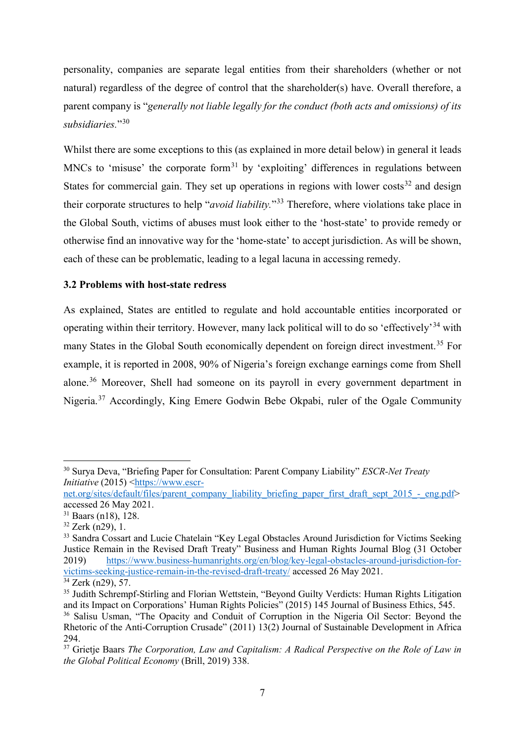personality, companies are separate legal entities from their shareholders (whether or not natural) regardless of the degree of control that the shareholder(s) have. Overall therefore, a parent company is "*generally not liable legally for the conduct (both acts and omissions) of its subsidiaries.*"[30](#page-8-1)

Whilst there are some exceptions to this (as explained in more detail below) in general it leads MNCs to 'misuse' the corporate form<sup>[31](#page-8-2)</sup> by 'exploiting' differences in regulations between States for commercial gain. They set up operations in regions with lower costs<sup>[32](#page-8-3)</sup> and design their corporate structures to help "*avoid liability.*"[33](#page-8-4) Therefore, where violations take place in the Global South, victims of abuses must look either to the 'host-state' to provide remedy or otherwise find an innovative way for the 'home-state' to accept jurisdiction. As will be shown, each of these can be problematic, leading to a legal lacuna in accessing remedy.

### <span id="page-8-0"></span>**3.2 Problems with host-state redress**

As explained, States are entitled to regulate and hold accountable entities incorporated or operating within their territory. However, many lack political will to do so 'effectively'[34](#page-8-5) with many States in the Global South economically dependent on foreign direct investment.<sup>[35](#page-8-6)</sup> For example, it is reported in 2008, 90% of Nigeria's foreign exchange earnings come from Shell alone.<sup>[36](#page-8-7)</sup> Moreover, Shell had someone on its payroll in every government department in Nigeria.[37](#page-8-8) Accordingly, King Emere Godwin Bebe Okpabi, ruler of the Ogale Community

<span id="page-8-1"></span> <sup>30</sup> Surya Deva, "Briefing Paper for Consultation: Parent Company Liability" *ESCR-Net Treaty Initiative* (2015) [<https://www.escr-](https://www.escr-net.org/sites/default/files/parent_company_liability_briefing_paper_first_draft_sept_2015_-_eng.pdf)

[net.org/sites/default/files/parent\\_company\\_liability\\_briefing\\_paper\\_first\\_draft\\_sept\\_2015\\_-\\_eng.pdf>](https://www.escr-net.org/sites/default/files/parent_company_liability_briefing_paper_first_draft_sept_2015_-_eng.pdf) accessed 26 May 2021.

<span id="page-8-2"></span> $31$  Baars (n18), 128.

<span id="page-8-3"></span> $32$  Zerk (n29), 1.

<span id="page-8-4"></span><sup>&</sup>lt;sup>33</sup> Sandra Cossart and Lucie Chatelain "Key Legal Obstacles Around Jurisdiction for Victims Seeking Justice Remain in the Revised Draft Treaty" Business and Human Rights Journal Blog (31 October 2019) [https://www.business-humanrights.org/en/blog/key-legal-obstacles-around-jurisdiction-for](https://www.business-humanrights.org/en/blog/key-legal-obstacles-around-jurisdiction-for-victims-seeking-justice-remain-in-the-revised-draft-treaty/)[victims-seeking-justice-remain-in-the-revised-draft-treaty/](https://www.business-humanrights.org/en/blog/key-legal-obstacles-around-jurisdiction-for-victims-seeking-justice-remain-in-the-revised-draft-treaty/) accessed 26 May 2021.

<span id="page-8-5"></span><sup>34</sup> Zerk (n29), 57.

<span id="page-8-6"></span><sup>&</sup>lt;sup>35</sup> Judith Schrempf-Stirling and Florian Wettstein, "Beyond Guilty Verdicts: Human Rights Litigation and its Impact on Corporations' Human Rights Policies" (2015) 145 Journal of Business Ethics, 545.

<span id="page-8-7"></span><sup>36</sup> Salisu Usman, "The Opacity and Conduit of Corruption in the Nigeria Oil Sector: Beyond the Rhetoric of the Anti-Corruption Crusade" (2011) 13(2) Journal of Sustainable Development in Africa 294.

<span id="page-8-8"></span><sup>37</sup> Grietje Baars *The Corporation, Law and Capitalism: A Radical Perspective on the Role of Law in the Global Political Economy* (Brill, 2019) 338.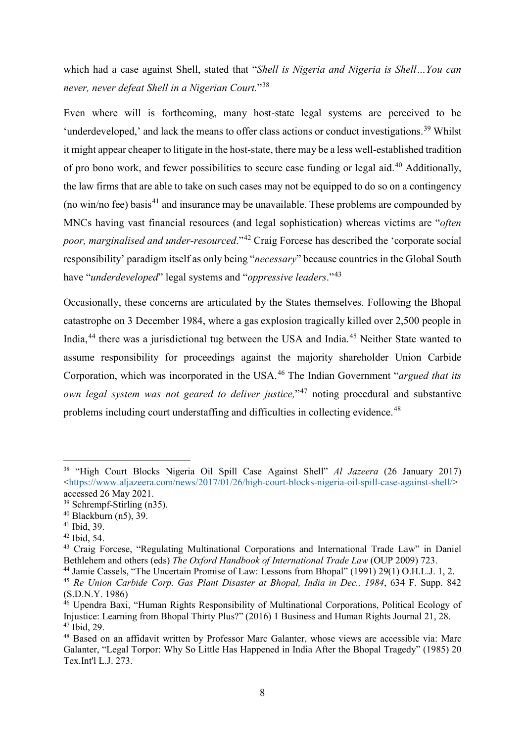which had a case against Shell, stated that "*Shell is Nigeria and Nigeria is Shell…You can never, never defeat Shell in a Nigerian Court.*"[38](#page-9-0)

Even where will is forthcoming, many host-state legal systems are perceived to be 'underdeveloped,' and lack the means to offer class actions or conduct investigations.<sup>[39](#page-9-1)</sup> Whilst it might appear cheaper to litigate in the host-state, there may be a less well-established tradition of pro bono work, and fewer possibilities to secure case funding or legal aid.<sup>[40](#page-9-2)</sup> Additionally. the law firms that are able to take on such cases may not be equipped to do so on a contingency (no win/no fee) basis<sup>[41](#page-9-3)</sup> and insurance may be unavailable. These problems are compounded by MNCs having vast financial resources (and legal sophistication) whereas victims are "*often poor, marginalised and under-resourced*."[42](#page-9-4) Craig Forcese has described the 'corporate social responsibility' paradigm itself as only being "*necessary*" because countries in the Global South have "*underdeveloped*" legal systems and "*oppressive leaders*."[43](#page-9-5)

Occasionally, these concerns are articulated by the States themselves. Following the Bhopal catastrophe on 3 December 1984, where a gas explosion tragically killed over 2,500 people in India,<sup>[44](#page-9-6)</sup> there was a jurisdictional tug between the USA and India.<sup>[45](#page-9-7)</sup> Neither State wanted to assume responsibility for proceedings against the majority shareholder Union Carbide Corporation, which was incorporated in the USA.[46](#page-9-8) The Indian Government "*argued that its own legal system was not geared to deliver justice*."<sup>[47](#page-9-9)</sup> noting procedural and substantive problems including court understaffing and difficulties in collecting evidence.<sup>[48](#page-9-10)</sup>

<span id="page-9-0"></span> <sup>38</sup> "High Court Blocks Nigeria Oil Spill Case Against Shell" *Al Jazeera* (26 January 2017) [<https://www.aljazeera.com/news/2017/01/26/high-court-blocks-nigeria-oil-spill-case-against-shell/>](https://www.aljazeera.com/news/2017/01/26/high-court-blocks-nigeria-oil-spill-case-against-shell/) accessed 26 May 2021.

<span id="page-9-1"></span><sup>39</sup> Schrempf-Stirling (n35).

<span id="page-9-2"></span> $40$  Blackburn (n5), 39.

<span id="page-9-3"></span><sup>41</sup> Ibid, 39.

<span id="page-9-4"></span><sup>42</sup> Ibid, 54.

<span id="page-9-5"></span><sup>43</sup> Craig Forcese, "Regulating Multinational Corporations and International Trade Law" in Daniel Bethlehem and others (eds) *The Oxford Handbook of International Trade Law* (OUP 2009) 723.

<span id="page-9-6"></span><sup>44</sup> Jamie Cassels, "The Uncertain Promise of Law: Lessons from Bhopal" (1991) 29(1) O.H.L.J. 1, 2.

<span id="page-9-7"></span><sup>45</sup> *Re Union Carbide Corp. Gas Plant Disaster at Bhopal, India in Dec., 1984*, 634 F. Supp. 842 (S.D.N.Y. 1986)

<span id="page-9-8"></span><sup>&</sup>lt;sup>46</sup> Upendra Baxi, "Human Rights Responsibility of Multinational Corporations, Political Ecology of Injustice: Learning from Bhopal Thirty Plus?" (2016) 1 Business and Human Rights Journal 21, 28.  $47$  Ibid, 29.

<span id="page-9-10"></span><span id="page-9-9"></span><sup>&</sup>lt;sup>48</sup> Based on an affidavit written by Professor Marc Galanter, whose views are accessible via: Marc Galanter, "Legal Torpor: Why So Little Has Happened in India After the Bhopal Tragedy" (1985) 20 Tex.Int'l L.J. 273.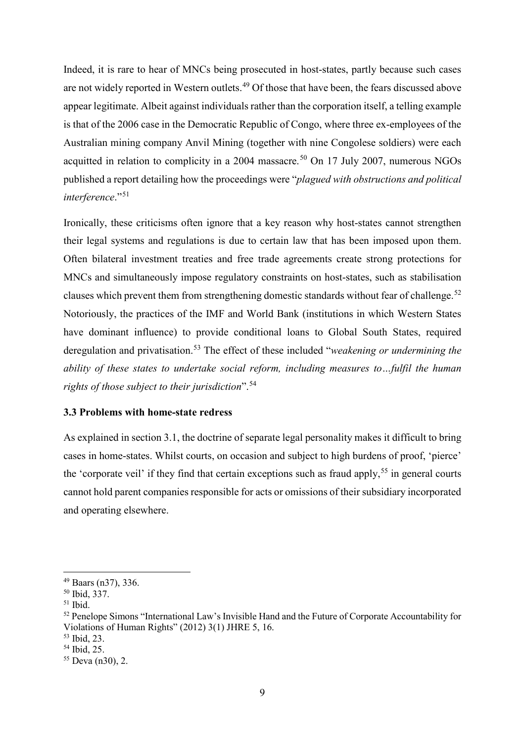Indeed, it is rare to hear of MNCs being prosecuted in host-states, partly because such cases are not widely reported in Western outlets.<sup>[49](#page-10-1)</sup> Of those that have been, the fears discussed above appear legitimate. Albeit against individuals rather than the corporation itself, a telling example is that of the 2006 case in the Democratic Republic of Congo, where three ex-employees of the Australian mining company Anvil Mining (together with nine Congolese soldiers) were each acquitted in relation to complicity in a 2004 massacre.<sup>[50](#page-10-2)</sup> On 17 July 2007, numerous NGOs published a report detailing how the proceedings were "*plagued with obstructions and political interference*."[51](#page-10-3)

Ironically, these criticisms often ignore that a key reason why host-states cannot strengthen their legal systems and regulations is due to certain law that has been imposed upon them. Often bilateral investment treaties and free trade agreements create strong protections for MNCs and simultaneously impose regulatory constraints on host-states, such as stabilisation clauses which prevent them from strengthening domestic standards without fear of challenge.<sup>[52](#page-10-4)</sup> Notoriously, the practices of the IMF and World Bank (institutions in which Western States have dominant influence) to provide conditional loans to Global South States, required deregulation and privatisation.[53](#page-10-5) The effect of these included "*weakening or undermining the ability of these states to undertake social reform, including measures to…fulfil the human rights of those subject to their jurisdiction*".[54](#page-10-6)

### <span id="page-10-0"></span>**3.3 Problems with home-state redress**

As explained in section 3.1, the doctrine of separate legal personality makes it difficult to bring cases in home-states. Whilst courts, on occasion and subject to high burdens of proof, 'pierce' the 'corporate veil' if they find that certain exceptions such as fraud apply,<sup>[55](#page-10-7)</sup> in general courts cannot hold parent companies responsible for acts or omissions of their subsidiary incorporated and operating elsewhere.

<span id="page-10-1"></span> <sup>49</sup> Baars (n37), 336.

<span id="page-10-2"></span><sup>50</sup> Ibid, 337.

<span id="page-10-3"></span> $51$  Ibid.

<span id="page-10-4"></span><sup>&</sup>lt;sup>52</sup> Penelope Simons "International Law's Invisible Hand and the Future of Corporate Accountability for Violations of Human Rights" (2012) 3(1) JHRE 5, 16.

<span id="page-10-5"></span><sup>53</sup> Ibid, 23.

<span id="page-10-6"></span><sup>54</sup> Ibid, 25.

<span id="page-10-7"></span> $55$  Deva (n30), 2.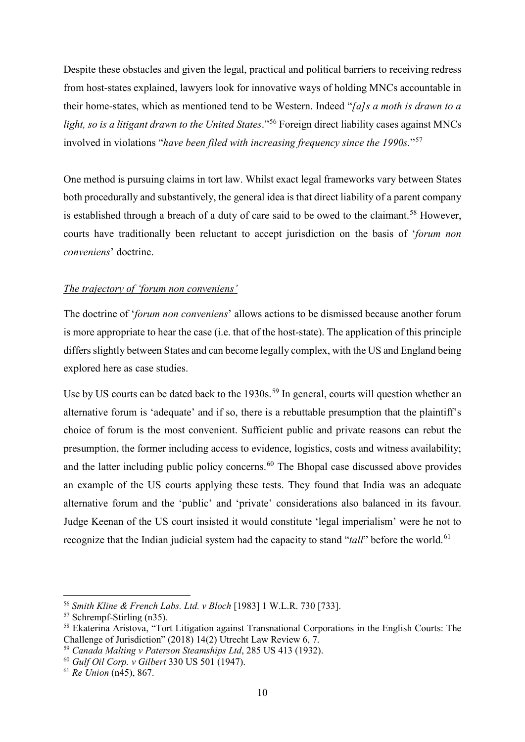Despite these obstacles and given the legal, practical and political barriers to receiving redress from host-states explained, lawyers look for innovative ways of holding MNCs accountable in their home-states, which as mentioned tend to be Western. Indeed "*[a]s a moth is drawn to a light, so is a litigant drawn to the United States*."[56](#page-11-0) Foreign direct liability cases against MNCs involved in violations "*have been filed with increasing frequency since the 1990s.*"[57](#page-11-1)

One method is pursuing claims in tort law. Whilst exact legal frameworks vary between States both procedurally and substantively, the general idea is that direct liability of a parent company is established through a breach of a duty of care said to be owed to the claimant.<sup>[58](#page-11-2)</sup> However, courts have traditionally been reluctant to accept jurisdiction on the basis of '*forum non conveniens*' doctrine.

# *The trajectory of 'forum non conveniens'*

The doctrine of '*forum non conveniens*' allows actions to be dismissed because another forum is more appropriate to hear the case (i.e. that of the host-state). The application of this principle differs slightly between States and can become legally complex, with the US and England being explored here as case studies.

Use by US courts can be dated back to the 1930s.<sup>[59](#page-11-3)</sup> In general, courts will question whether an alternative forum is 'adequate' and if so, there is a rebuttable presumption that the plaintiff's choice of forum is the most convenient. Sufficient public and private reasons can rebut the presumption, the former including access to evidence, logistics, costs and witness availability; and the latter including public policy concerns.<sup>[60](#page-11-4)</sup> The Bhopal case discussed above provides an example of the US courts applying these tests. They found that India was an adequate alternative forum and the 'public' and 'private' considerations also balanced in its favour. Judge Keenan of the US court insisted it would constitute 'legal imperialism' were he not to recognize that the Indian judicial system had the capacity to stand "*tall*" before the world.<sup>[61](#page-11-5)</sup>

<span id="page-11-0"></span> <sup>56</sup> *Smith Kline & French Labs. Ltd. v Bloch* [1983] 1 W.L.R. 730 [733].

<sup>57</sup> Schrempf-Stirling (n35).

<span id="page-11-2"></span><span id="page-11-1"></span><sup>58</sup> Ekaterina Aristova, "Tort Litigation against Transnational Corporations in the English Courts: The Challenge of Jurisdiction" (2018) 14(2) Utrecht Law Review 6, 7.

<span id="page-11-3"></span><sup>59</sup> *Canada Malting v Paterson Steamships Ltd*, 285 US 413 (1932).

<span id="page-11-4"></span><sup>60</sup> *Gulf Oil Corp. v Gilbert* 330 US 501 (1947).

<span id="page-11-5"></span><sup>61</sup> *Re Union* (n45), 867.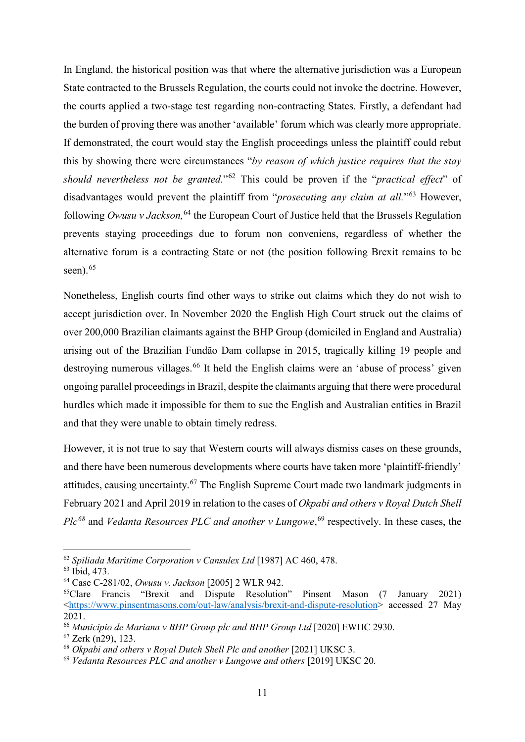In England, the historical position was that where the alternative jurisdiction was a European State contracted to the Brussels Regulation, the courts could not invoke the doctrine. However, the courts applied a two-stage test regarding non-contracting States. Firstly, a defendant had the burden of proving there was another 'available' forum which was clearly more appropriate. If demonstrated, the court would stay the English proceedings unless the plaintiff could rebut this by showing there were circumstances "*by reason of which justice requires that the stay should nevertheless not be granted.*"[62](#page-12-0) This could be proven if the "*practical effect*" of disadvantages would prevent the plaintiff from "*prosecuting any claim at all.*"[63](#page-12-1) However, following *Owusu v Jackson,*[64](#page-12-2) the European Court of Justice held that the Brussels Regulation prevents staying proceedings due to forum non conveniens, regardless of whether the alternative forum is a contracting State or not (the position following Brexit remains to be seen). $65$ 

Nonetheless, English courts find other ways to strike out claims which they do not wish to accept jurisdiction over. In November 2020 the English High Court struck out the claims of over 200,000 Brazilian claimants against the BHP Group (domiciled in England and Australia) arising out of the Brazilian Fundão Dam collapse in 2015, tragically killing 19 people and destroying numerous villages.<sup>[66](#page-12-4)</sup> It held the English claims were an 'abuse of process' given ongoing parallel proceedings in Brazil, despite the claimants arguing that there were procedural hurdles which made it impossible for them to sue the English and Australian entities in Brazil and that they were unable to obtain timely redress.

However, it is not true to say that Western courts will always dismiss cases on these grounds, and there have been numerous developments where courts have taken more 'plaintiff-friendly' attitudes, causing uncertainty.<sup>[67](#page-12-5)</sup> The English Supreme Court made two landmark judgments in February 2021 and April 2019 in relation to the cases of *Okpabi and others v Royal Dutch Shell Plc[68](#page-12-6)* and *Vedanta Resources PLC and another v Lungowe*, [69](#page-12-7) respectively. In these cases, the

<span id="page-12-0"></span> <sup>62</sup> *Spiliada Maritime Corporation v Cansulex Ltd* [1987] AC 460, 478.

<span id="page-12-1"></span><sup>63</sup> Ibid, 473.

<span id="page-12-2"></span><sup>64</sup> Case C-281/02, *Owusu v. Jackson* [2005] 2 WLR 942.

<span id="page-12-3"></span><sup>65</sup>Clare Francis "Brexit and Dispute Resolution" Pinsent Mason (7 January 2021) [<https://www.pinsentmasons.com/out-law/analysis/brexit-and-dispute-resolution>](https://www.pinsentmasons.com/out-law/analysis/brexit-and-dispute-resolution) accessed 27 May 2021.

<span id="page-12-4"></span><sup>66</sup> *Municipio de Mariana v BHP Group plc and BHP Group Ltd* [2020] EWHC 2930.

<span id="page-12-5"></span> $67$  Zerk (n29), 123.

<span id="page-12-6"></span><sup>68</sup> *Okpabi and others v Royal Dutch Shell Plc and another* [2021] UKSC 3.

<span id="page-12-7"></span><sup>69</sup> *Vedanta Resources PLC and another v Lungowe and others* [2019] UKSC 20.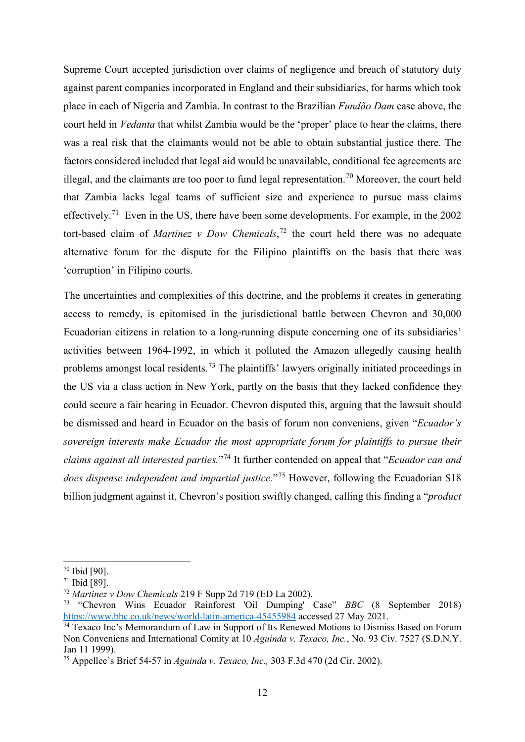Supreme Court accepted jurisdiction over claims of negligence and breach of statutory duty against parent companies incorporated in England and their subsidiaries, for harms which took place in each of Nigeria and Zambia. In contrast to the Brazilian *Fundão Dam* case above, the court held in *Vedanta* that whilst Zambia would be the 'proper' place to hear the claims, there was a real risk that the claimants would not be able to obtain substantial justice there. The factors considered included that legal aid would be unavailable, conditional fee agreements are illegal, and the claimants are too poor to fund legal representation.<sup>[70](#page-13-0)</sup> Moreover, the court held that Zambia lacks legal teams of sufficient size and experience to pursue mass claims effectively.[71](#page-13-1) Even in the US, there have been some developments. For example, in the 2002 tort-based claim of *Martinez v Dow Chemicals*, [72](#page-13-2) the court held there was no adequate alternative forum for the dispute for the Filipino plaintiffs on the basis that there was 'corruption' in Filipino courts.

The uncertainties and complexities of this doctrine, and the problems it creates in generating access to remedy, is epitomised in the jurisdictional battle between Chevron and 30,000 Ecuadorian citizens in relation to a long-running dispute concerning one of its subsidiaries' activities between 1964-1992, in which it polluted the Amazon allegedly causing health problems amongst local residents.<sup>[73](#page-13-3)</sup> The plaintiffs' lawyers originally initiated proceedings in the US via a class action in New York, partly on the basis that they lacked confidence they could secure a fair hearing in Ecuador. Chevron disputed this, arguing that the lawsuit should be dismissed and heard in Ecuador on the basis of forum non conveniens, given "*Ecuador's sovereign interests make Ecuador the most appropriate forum for plaintiffs to pursue their claims against all interested parties.*"[74](#page-13-4) It further contended on appeal that "*Ecuador can and does dispense independent and impartial justice.*"[75](#page-13-5) However, following the Ecuadorian \$18 billion judgment against it, Chevron's position swiftly changed, calling this finding a "*product* 

<span id="page-13-0"></span> $70$  Ibid [90].

<span id="page-13-1"></span> $71$  Ibid [89].

<span id="page-13-2"></span><sup>72</sup> *Martinez v Dow Chemicals* 219 F Supp 2d 719 (ED La 2002).

<span id="page-13-3"></span><sup>73</sup> "Chevron Wins Ecuador Rainforest 'Oil Dumping' Case" *BBC* (8 September 2018) <https://www.bbc.co.uk/news/world-latin-america-45455984> accessed 27 May 2021.

<span id="page-13-4"></span> $74$  Texaco Inc's Memorandum of Law in Support of Its Renewed Motions to Dismiss Based on Forum Non Conveniens and International Comity at 10 *Aguinda v. Texaco, Inc.*, No. 93 Civ. 7527 (S.D.N.Y. Jan 11 1999).

<span id="page-13-5"></span><sup>75</sup> Appellee's Brief 54-57 in *Aguinda v. Texaco, Inc.,* 303 F.3d 470 (2d Cir. 2002).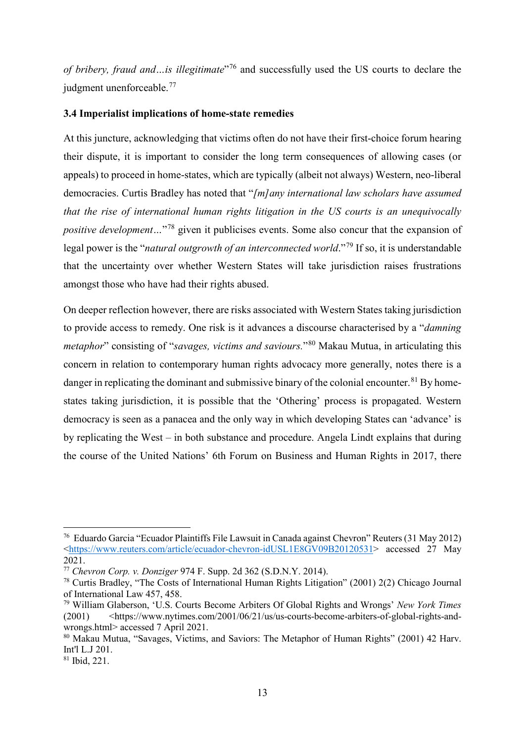*of bribery, fraud and…is illegitimate*"[76](#page-14-1) and successfully used the US courts to declare the judgment unenforceable.<sup>[77](#page-14-2)</sup>

### <span id="page-14-0"></span>**3.4 Imperialist implications of home-state remedies**

At this juncture, acknowledging that victims often do not have their first-choice forum hearing their dispute, it is important to consider the long term consequences of allowing cases (or appeals) to proceed in home-states, which are typically (albeit not always) Western, neo-liberal democracies. Curtis Bradley has noted that "*[m]any international law scholars have assumed that the rise of international human rights litigation in the US courts is an unequivocally positive development*...<sup>"[78](#page-14-3)</sup> given it publicises events. Some also concur that the expansion of legal power is the "*natural outgrowth of an interconnected world*."[79](#page-14-4) If so, it is understandable that the uncertainty over whether Western States will take jurisdiction raises frustrations amongst those who have had their rights abused.

On deeper reflection however, there are risks associated with Western States taking jurisdiction to provide access to remedy. One risk is it advances a discourse characterised by a "*damning metaphor*" consisting of "*savages, victims and saviours.*"[80](#page-14-5) Makau Mutua, in articulating this concern in relation to contemporary human rights advocacy more generally, notes there is a danger in replicating the dominant and submissive binary of the colonial encounter.<sup>[81](#page-14-6)</sup> By homestates taking jurisdiction, it is possible that the 'Othering' process is propagated. Western democracy is seen as a panacea and the only way in which developing States can 'advance' is by replicating the West – in both substance and procedure. Angela Lindt explains that during the course of the United Nations' 6th Forum on Business and Human Rights in 2017, there

<span id="page-14-1"></span> <sup>76</sup> Eduardo Garcia "Ecuador Plaintiffs File Lawsuit in Canada against Chevron" Reuters (31 May 2012) [<https://www.reuters.com/article/ecuador-chevron-idUSL1E8GV09B20120531>](https://www.reuters.com/article/ecuador-chevron-idUSL1E8GV09B20120531) accessed 27 May 2021.

<span id="page-14-2"></span><sup>77</sup> *Chevron Corp. v. Donziger* 974 F. Supp. 2d 362 (S.D.N.Y. 2014).

<span id="page-14-3"></span><sup>78</sup> Curtis Bradley, "The Costs of International Human Rights Litigation" (2001) 2(2) Chicago Journal of International Law 457, 458.

<span id="page-14-4"></span><sup>79</sup> William Glaberson, 'U.S. Courts Become Arbiters Of Global Rights and Wrongs' *New York Times* (2001)  $\langle$ https://www.nytimes.com/2001/06/21/us/us-courts-become-arbiters-of-global-rights-andwrongs.html> accessed 7 April 2021.

<span id="page-14-5"></span><sup>80</sup> Makau Mutua, "Savages, Victims, and Saviors: The Metaphor of Human Rights" (2001) 42 Harv. Int'l L.J 201.

<span id="page-14-6"></span><sup>81</sup> Ibid, 221.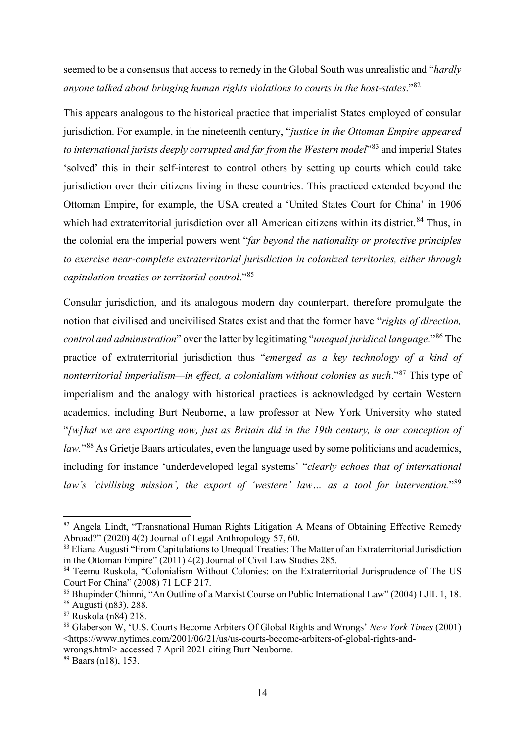seemed to be a consensus that access to remedy in the Global South was unrealistic and "*hardly anyone talked about bringing human rights violations to courts in the host-states*."[82](#page-15-0)

This appears analogous to the historical practice that imperialist States employed of consular jurisdiction. For example, in the nineteenth century, "*justice in the Ottoman Empire appeared to international jurists deeply corrupted and far from the Western model*"[83](#page-15-1) and imperial States 'solved' this in their self-interest to control others by setting up courts which could take jurisdiction over their citizens living in these countries. This practiced extended beyond the Ottoman Empire, for example, the USA created a 'United States Court for China' in 1906 which had extraterritorial jurisdiction over all American citizens within its district.<sup>[84](#page-15-2)</sup> Thus, in the colonial era the imperial powers went "*far beyond the nationality or protective principles to exercise near-complete extraterritorial jurisdiction in colonized territories, either through capitulation treaties or territorial control*."[85](#page-15-3)

Consular jurisdiction, and its analogous modern day counterpart, therefore promulgate the notion that civilised and uncivilised States exist and that the former have "*rights of direction, control and administration*" over the latter by legitimating "*unequal juridical language.*"[86](#page-15-4) The practice of extraterritorial jurisdiction thus "*emerged as a key technology of a kind of nonterritorial imperialism—in effect, a colonialism without colonies as such*."[87](#page-15-5) This type of imperialism and the analogy with historical practices is acknowledged by certain Western academics, including Burt Neuborne, a law professor at New York University who stated "*[w]hat we are exporting now, just as Britain did in the 19th century, is our conception of law.*"[88](#page-15-6) As Grietje Baars articulates, even the language used by some politicians and academics, including for instance 'underdeveloped legal systems' "*clearly echoes that of international law's 'civilising mission', the export of 'western' law… as a tool for intervention.*"[89](#page-15-7)

<span id="page-15-0"></span><sup>82</sup> Angela Lindt, "Transnational Human Rights Litigation A Means of Obtaining Effective Remedy Abroad?" (2020) 4(2) Journal of Legal Anthropology 57, 60.

<span id="page-15-1"></span><sup>83</sup> Eliana Augusti "From Capitulations to Unequal Treaties: The Matter of an Extraterritorial Jurisdiction in the Ottoman Empire" (2011) 4(2) Journal of Civil Law Studies 285.

<span id="page-15-2"></span><sup>84</sup> Teemu Ruskola, "Colonialism Without Colonies: on the Extraterritorial Jurisprudence of The US Court For China" (2008) 71 LCP 217.

<span id="page-15-3"></span><sup>85</sup> Bhupinder Chimni, "An Outline of a Marxist Course on Public International Law" (2004) LJIL 1, 18. <sup>86</sup> Augusti (n83), 288.

<span id="page-15-5"></span><span id="page-15-4"></span><sup>87</sup> Ruskola (n84) 218.

<span id="page-15-6"></span><sup>88</sup> Glaberson W, 'U.S. Courts Become Arbiters Of Global Rights and Wrongs' *New York Times* (2001) <https://www.nytimes.com/2001/06/21/us/us-courts-become-arbiters-of-global-rights-and-

wrongs.html> accessed 7 April 2021 citing Burt Neuborne.

<span id="page-15-7"></span><sup>89</sup> Baars (n18), 153.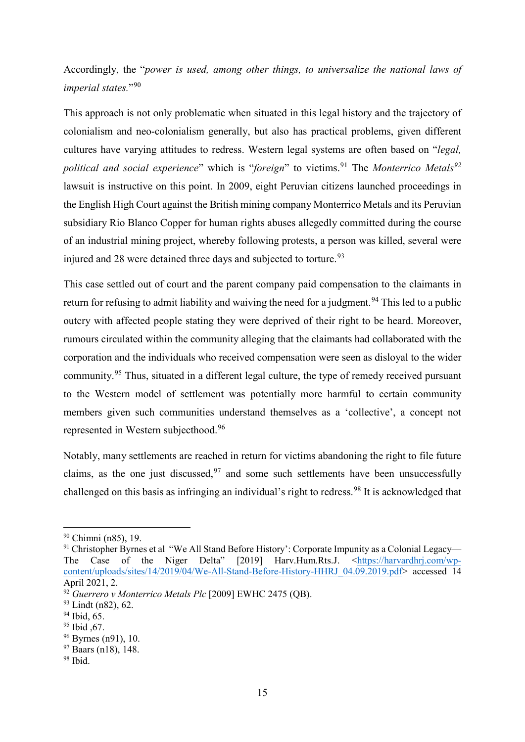Accordingly, the "*power is used, among other things, to universalize the national laws of imperial states.*"[90](#page-16-0)

This approach is not only problematic when situated in this legal history and the trajectory of colonialism and neo-colonialism generally, but also has practical problems, given different cultures have varying attitudes to redress. Western legal systems are often based on "*legal, political and social experience*" which is "*foreign*" to victims.<sup>[91](#page-16-1)</sup> The *Monterrico Metals*<sup>[92](#page-16-2)</sup> lawsuit is instructive on this point. In 2009, eight Peruvian citizens launched proceedings in the English High Court against the British mining company Monterrico Metals and its Peruvian subsidiary Rio Blanco Copper for human rights abuses allegedly committed during the course of an industrial mining project, whereby following protests, a person was killed, several were injured and 28 were detained three days and subjected to torture.<sup>[93](#page-16-3)</sup>

This case settled out of court and the parent company paid compensation to the claimants in return for refusing to admit liability and waiving the need for a judgment.<sup>[94](#page-16-4)</sup> This led to a public outcry with affected people stating they were deprived of their right to be heard. Moreover, rumours circulated within the community alleging that the claimants had collaborated with the corporation and the individuals who received compensation were seen as disloyal to the wider community.<sup>[95](#page-16-5)</sup> Thus, situated in a different legal culture, the type of remedy received pursuant to the Western model of settlement was potentially more harmful to certain community members given such communities understand themselves as a 'collective', a concept not represented in Western subjecthood.[96](#page-16-6)

Notably, many settlements are reached in return for victims abandoning the right to file future claims, as the one just discussed,  $97$  and some such settlements have been unsuccessfully challenged on this basis as infringing an individual's right to redress.<sup>[98](#page-16-8)</sup> It is acknowledged that

<span id="page-16-0"></span> <sup>90</sup> Chimni (n85), 19.

<span id="page-16-1"></span><sup>&</sup>lt;sup>91</sup> Christopher Byrnes et al "We All Stand Before History': Corporate Impunity as a Colonial Legacy— The Case of the Niger Delta" [2019] Harv.Hum.Rts.J. [<https://harvardhrj.com/wp](https://harvardhrj.com/wp-content/uploads/sites/14/2019/04/We-All-Stand-Before-History-HHRJ_04.09.2019.pdf)[content/uploads/sites/14/2019/04/We-All-Stand-Before-History-HHRJ\\_04.09.2019.pdf>](https://harvardhrj.com/wp-content/uploads/sites/14/2019/04/We-All-Stand-Before-History-HHRJ_04.09.2019.pdf) accessed 14 April 2021, 2.

<span id="page-16-2"></span><sup>92</sup> *Guerrero v Monterrico Metals Plc* [2009] EWHC 2475 (QB).

<span id="page-16-3"></span><sup>93</sup> Lindt (n82), 62.

<span id="page-16-4"></span><sup>&</sup>lt;sup>94</sup> Ibid, 65.

<span id="page-16-5"></span><sup>&</sup>lt;sup>95</sup> Ibid .67.

<span id="page-16-6"></span> $96$  Byrnes (n91), 10.

<span id="page-16-7"></span><sup>&</sup>lt;sup>97</sup> Baars (n18), 148.

<span id="page-16-8"></span> $98$  Ibid.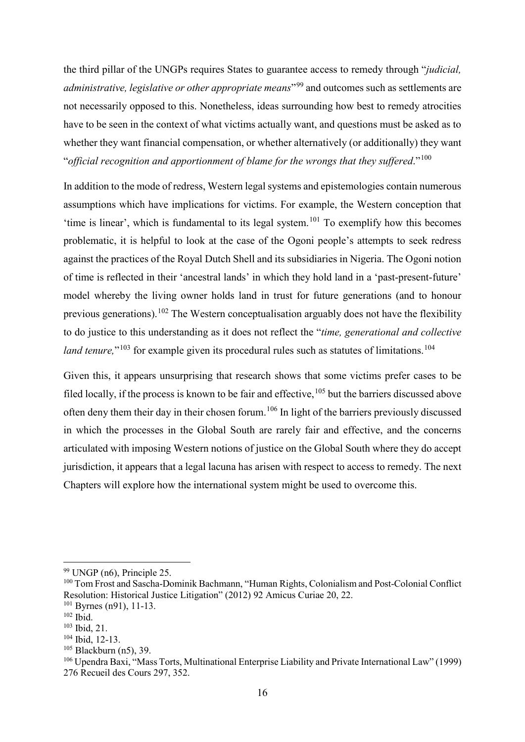the third pillar of the UNGPs requires States to guarantee access to remedy through "*judicial, administrative, legislative or other appropriate means*"[99](#page-17-0) and outcomes such as settlements are not necessarily opposed to this. Nonetheless, ideas surrounding how best to remedy atrocities have to be seen in the context of what victims actually want, and questions must be asked as to whether they want financial compensation, or whether alternatively (or additionally) they want "*official recognition and apportionment of blame for the wrongs that they suffered*."[100](#page-17-1)

In addition to the mode of redress, Western legal systems and epistemologies contain numerous assumptions which have implications for victims. For example, the Western conception that 'time is linear', which is fundamental to its legal system.<sup>[101](#page-17-2)</sup> To exemplify how this becomes problematic, it is helpful to look at the case of the Ogoni people's attempts to seek redress against the practices of the Royal Dutch Shell and its subsidiaries in Nigeria. The Ogoni notion of time is reflected in their 'ancestral lands' in which they hold land in a 'past-present-future' model whereby the living owner holds land in trust for future generations (and to honour previous generations).<sup>[102](#page-17-3)</sup> The Western conceptualisation arguably does not have the flexibility to do justice to this understanding as it does not reflect the "*time, generational and collective land tenure*,"<sup>[103](#page-17-4)</sup> for example given its procedural rules such as statutes of limitations.<sup>[104](#page-17-5)</sup>

Given this, it appears unsurprising that research shows that some victims prefer cases to be filed locally, if the process is known to be fair and effective, <sup>[105](#page-17-6)</sup> but the barriers discussed above often deny them their day in their chosen forum.[106](#page-17-7) In light of the barriers previously discussed in which the processes in the Global South are rarely fair and effective, and the concerns articulated with imposing Western notions of justice on the Global South where they do accept jurisdiction, it appears that a legal lacuna has arisen with respect to access to remedy. The next Chapters will explore how the international system might be used to overcome this.

<span id="page-17-0"></span> $99$  UNGP (n6), Principle 25.

<span id="page-17-1"></span><sup>&</sup>lt;sup>100</sup> Tom Frost and Sascha-Dominik Bachmann, "Human Rights, Colonialism and Post-Colonial Conflict Resolution: Historical Justice Litigation" (2012) 92 Amicus Curiae 20, 22.

<span id="page-17-2"></span> $101$  Byrnes (n91), 11-13.

<span id="page-17-3"></span><sup>102</sup> Ibid.

<span id="page-17-4"></span><sup>103</sup> Ibid, 21.

<span id="page-17-5"></span><sup>104</sup> Ibid, 12-13.

<span id="page-17-6"></span> $105$  Blackburn (n5), 39.

<span id="page-17-7"></span><sup>106</sup> Upendra Baxi, "Mass Torts, Multinational Enterprise Liability and Private International Law" (1999) 276 Recueil des Cours 297, 352.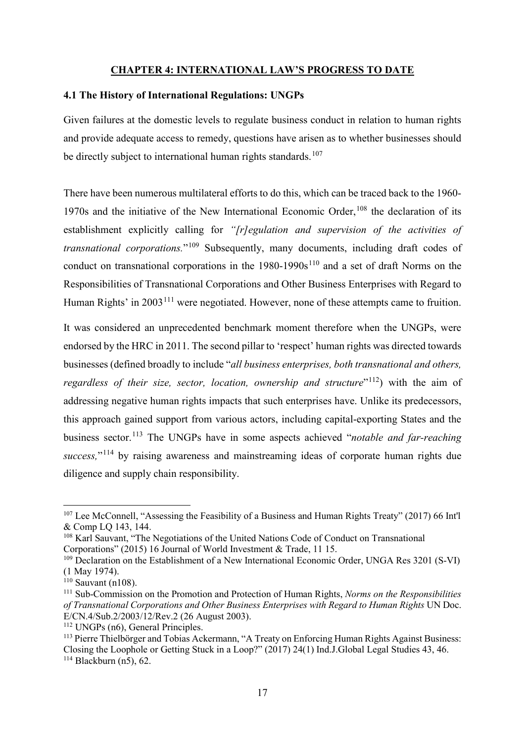### <span id="page-18-1"></span><span id="page-18-0"></span>**CHAPTER 4: INTERNATIONAL LAW'S PROGRESS TO DATE**

### **4.1 The History of International Regulations: UNGPs**

Given failures at the domestic levels to regulate business conduct in relation to human rights and provide adequate access to remedy, questions have arisen as to whether businesses should be directly subject to international human rights standards.<sup>[107](#page-18-2)</sup>

There have been numerous multilateral efforts to do this, which can be traced back to the 1960- 1970s and the initiative of the New International Economic Order, <sup>[108](#page-18-3)</sup> the declaration of its establishment explicitly calling for *"[r]egulation and supervision of the activities of transnational corporations.*"[109](#page-18-4) Subsequently, many documents, including draft codes of conduct on transnational corporations in the  $1980-1990s<sup>110</sup>$  $1980-1990s<sup>110</sup>$  $1980-1990s<sup>110</sup>$  and a set of draft Norms on the Responsibilities of Transnational Corporations and Other Business Enterprises with Regard to Human Rights' in 2003<sup>[111](#page-18-6)</sup> were negotiated. However, none of these attempts came to fruition.

It was considered an unprecedented benchmark moment therefore when the UNGPs, were endorsed by the HRC in 2011. The second pillar to 'respect' human rights was directed towards businesses (defined broadly to include "*all business enterprises, both transnational and others, regardless of their size, sector, location, ownership and structure*"<sup>[112](#page-18-7)</sup>) with the aim of addressing negative human rights impacts that such enterprises have. Unlike its predecessors, this approach gained support from various actors, including capital-exporting States and the business sector.[113](#page-18-8) The UNGPs have in some aspects achieved "*notable and far-reaching*  success,"<sup>[114](#page-18-9)</sup> by raising awareness and mainstreaming ideas of corporate human rights due diligence and supply chain responsibility.

<span id="page-18-2"></span> <sup>107</sup> Lee McConnell, "Assessing the Feasibility of a Business and Human Rights Treaty" (2017) 66 Int'l & Comp LQ 143, 144.

<span id="page-18-3"></span><sup>&</sup>lt;sup>108</sup> Karl Sauvant, "The Negotiations of the United Nations Code of Conduct on Transnational Corporations" (2015) 16 Journal of World Investment & Trade, 11 15.

<span id="page-18-4"></span><sup>&</sup>lt;sup>109</sup> Declaration on the Establishment of a New International Economic Order, UNGA Res 3201 (S-VI) (1 May 1974).

<span id="page-18-5"></span> $110$  Sauvant (n108).

<span id="page-18-6"></span><sup>111</sup> Sub-Commission on the Promotion and Protection of Human Rights, *Norms on the Responsibilities of Transnational Corporations and Other Business Enterprises with Regard to Human Rights* UN Doc. E/CN.4/Sub.2/2003/12/Rev.2 (26 August 2003).

<span id="page-18-7"></span><sup>&</sup>lt;sup>112</sup> UNGPs (n6), General Principles.

<span id="page-18-9"></span><span id="page-18-8"></span><sup>&</sup>lt;sup>113</sup> Pierre Thielbörger and Tobias Ackermann, "A Treaty on Enforcing Human Rights Against Business: Closing the Loophole or Getting Stuck in a Loop?" (2017) 24(1) Ind.J.Global Legal Studies 43, 46.  $114$  Blackburn (n5), 62.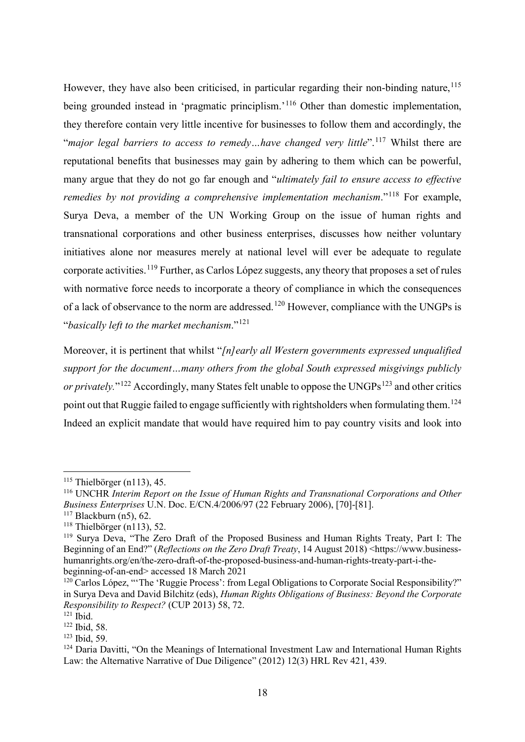However, they have also been criticised, in particular regarding their non-binding nature,  $^{115}$  $^{115}$  $^{115}$ being grounded instead in 'pragmatic principlism.'<sup>[116](#page-19-1)</sup> Other than domestic implementation, they therefore contain very little incentive for businesses to follow them and accordingly, the "*major legal barriers to access to remedy…have changed very little*". [117](#page-19-2) Whilst there are reputational benefits that businesses may gain by adhering to them which can be powerful, many argue that they do not go far enough and "*ultimately fail to ensure access to effective remedies by not providing a comprehensive implementation mechanism.*<sup>"[118](#page-19-3)</sup> For example, Surya Deva, a member of the UN Working Group on the issue of human rights and transnational corporations and other business enterprises, discusses how neither voluntary initiatives alone nor measures merely at national level will ever be adequate to regulate corporate activities.<sup>[119](#page-19-4)</sup> Further, as Carlos López suggests, any theory that proposes a set of rules with normative force needs to incorporate a theory of compliance in which the consequences of a lack of observance to the norm are addressed.<sup>[120](#page-19-5)</sup> However, compliance with the UNGPs is "*basically left to the market mechanism*."[121](#page-19-6)

Moreover, it is pertinent that whilst "*[n]early all Western governments expressed unqualified support for the document…many others from the global South expressed misgivings publicly or privately.*"<sup>[122](#page-19-7)</sup> Accordingly, many States felt unable to oppose the UNGPs<sup>[123](#page-19-8)</sup> and other critics point out that Ruggie failed to engage sufficiently with rightsholders when formulating them.<sup>[124](#page-19-9)</sup> Indeed an explicit mandate that would have required him to pay country visits and look into

<span id="page-19-0"></span> $115$  Thielbörger (n113), 45.

<span id="page-19-1"></span><sup>116</sup> UNCHR *Interim Report on the Issue of Human Rights and Transnational Corporations and Other Business Enterprises* U.N. Doc. E/CN.4/2006/97 (22 February 2006), [70]-[81].

<span id="page-19-2"></span> $117$  Blackburn (n5), 62.

<span id="page-19-3"></span><sup>&</sup>lt;sup>118</sup> Thielbörger (n113), 52.

<span id="page-19-4"></span><sup>119</sup> Surya Deva, "The Zero Draft of the Proposed Business and Human Rights Treaty, Part I: The Beginning of an End?" (*Reflections on the Zero Draft Treaty*, 14 August 2018) <https://www.businesshumanrights.org/en/the-zero-draft-of-the-proposed-business-and-human-rights-treaty-part-i-thebeginning-of-an-end> accessed 18 March 2021

<span id="page-19-5"></span><sup>&</sup>lt;sup>120</sup> Carlos López, "The 'Ruggie Process': from Legal Obligations to Corporate Social Responsibility?" in Surya Deva and David Bilchitz (eds), *Human Rights Obligations of Business: Beyond the Corporate Responsibility to Respect?* (CUP 2013) 58, 72.

<span id="page-19-6"></span> $121$   $\hat{I}$ bid.

<span id="page-19-7"></span><sup>122</sup> Ibid, 58.

<span id="page-19-8"></span><sup>123</sup> Ibid, 59.

<span id="page-19-9"></span><sup>&</sup>lt;sup>124</sup> Daria Davitti, "On the Meanings of International Investment Law and International Human Rights Law: the Alternative Narrative of Due Diligence" (2012) 12(3) HRL Rev 421, 439.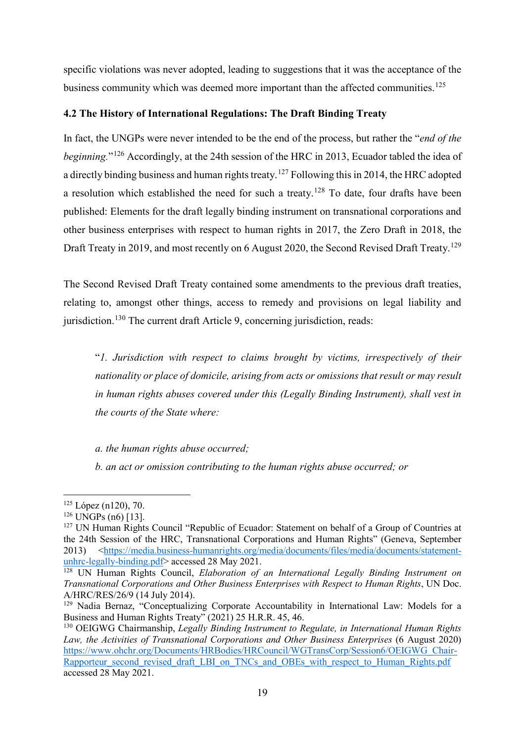specific violations was never adopted, leading to suggestions that it was the acceptance of the business community which was deemed more important than the affected communities.<sup>[125](#page-20-1)</sup>

# <span id="page-20-0"></span>**4.2 The History of International Regulations: The Draft Binding Treaty**

In fact, the UNGPs were never intended to be the end of the process, but rather the "*end of the beginning.*"[126](#page-20-2) Accordingly, at the 24th session of the HRC in 2013, Ecuador tabled the idea of a directly binding business and human rights treaty.<sup>[127](#page-20-3)</sup> Following this in 2014, the HRC adopted a resolution which established the need for such a treaty.<sup>[128](#page-20-4)</sup> To date, four drafts have been published: Elements for the draft legally binding instrument on transnational corporations and other business enterprises with respect to human rights in 2017, the Zero Draft in 2018, the Draft Treaty in 2019, and most recently on 6 August 2020, the Second Revised Draft Treaty.<sup>[129](#page-20-5)</sup>

The Second Revised Draft Treaty contained some amendments to the previous draft treaties, relating to, amongst other things, access to remedy and provisions on legal liability and jurisdiction.<sup>[130](#page-20-6)</sup> The current draft Article 9, concerning jurisdiction, reads:

"*1. Jurisdiction with respect to claims brought by victims, irrespectively of their nationality or place of domicile, arising from acts or omissions that result or may result in human rights abuses covered under this (Legally Binding Instrument), shall vest in the courts of the State where:*

*a. the human rights abuse occurred;*

*b. an act or omission contributing to the human rights abuse occurred; or*

<span id="page-20-1"></span> <sup>125</sup> López (n120), 70.

<span id="page-20-2"></span> $126$  UNGPs (n6) [13].

<span id="page-20-3"></span><sup>&</sup>lt;sup>127</sup> UN Human Rights Council "Republic of Ecuador: Statement on behalf of a Group of Countries at the 24th Session of the HRC, Transnational Corporations and Human Rights" (Geneva, September 2013) [<https://media.business-humanrights.org/media/documents/files/media/documents/statement](https://media.business-humanrights.org/media/documents/files/media/documents/statement-unhrc-legally-binding.pdf)[unhrc-legally-binding.pdf>](https://media.business-humanrights.org/media/documents/files/media/documents/statement-unhrc-legally-binding.pdf) accessed 28 May 2021.

<span id="page-20-4"></span><sup>128</sup> UN Human Rights Council, *Elaboration of an International Legally Binding Instrument on Transnational Corporations and Other Business Enterprises with Respect to Human Rights*, UN Doc. A/HRC/RES/26/9 (14 July 2014).

<span id="page-20-5"></span><sup>&</sup>lt;sup>129</sup> Nadia Bernaz, "Conceptualizing Corporate Accountability in International Law: Models for a Business and Human Rights Treaty" (2021) 25 H.R.R. 45, 46.

<span id="page-20-6"></span><sup>130</sup> OEIGWG Chairmanship, *Legally Binding Instrument to Regulate, in International Human Rights*  Law, the Activities of Transnational Corporations and Other Business Enterprises (6 August 2020) [https://www.ohchr.org/Documents/HRBodies/HRCouncil/WGTransCorp/Session6/OEIGWG\\_Chair-](https://www.ohchr.org/Documents/HRBodies/HRCouncil/WGTransCorp/Session6/OEIGWG_Chair-Rapporteur_second_revised_draft_LBI_on_TNCs_and_OBEs_with_respect_to_Human_Rights.pdf)Rapporteur second revised draft LBI on TNCs and OBEs with respect to Human Rights.pdf accessed 28 May 2021.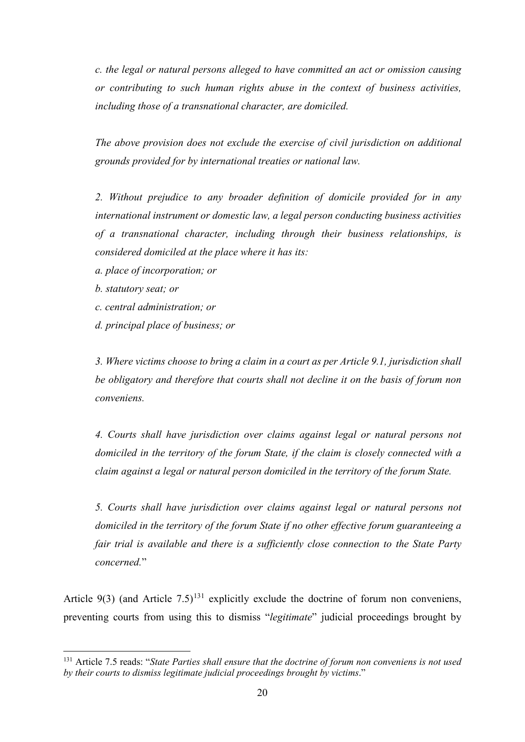*c. the legal or natural persons alleged to have committed an act or omission causing or contributing to such human rights abuse in the context of business activities, including those of a transnational character, are domiciled.*

*The above provision does not exclude the exercise of civil jurisdiction on additional grounds provided for by international treaties or national law.*

*2. Without prejudice to any broader definition of domicile provided for in any international instrument or domestic law, a legal person conducting business activities of a transnational character, including through their business relationships, is considered domiciled at the place where it has its:*

- *a. place of incorporation; or*
- *b. statutory seat; or*
- *c. central administration; or*
- *d. principal place of business; or*

*3. Where victims choose to bring a claim in a court as per Article 9.1, jurisdiction shall be obligatory and therefore that courts shall not decline it on the basis of forum non conveniens.*

*4. Courts shall have jurisdiction over claims against legal or natural persons not domiciled in the territory of the forum State, if the claim is closely connected with a claim against a legal or natural person domiciled in the territory of the forum State.*

*5. Courts shall have jurisdiction over claims against legal or natural persons not domiciled in the territory of the forum State if no other effective forum guaranteeing a fair trial is available and there is a sufficiently close connection to the State Party concerned.*"

Article 9(3) (and Article 7.5)<sup>[131](#page-21-0)</sup> explicitly exclude the doctrine of forum non conveniens, preventing courts from using this to dismiss "*legitimate*" judicial proceedings brought by

<span id="page-21-0"></span> <sup>131</sup> Article 7.5 reads: "*State Parties shall ensure that the doctrine of forum non conveniens is not used by their courts to dismiss legitimate judicial proceedings brought by victims*."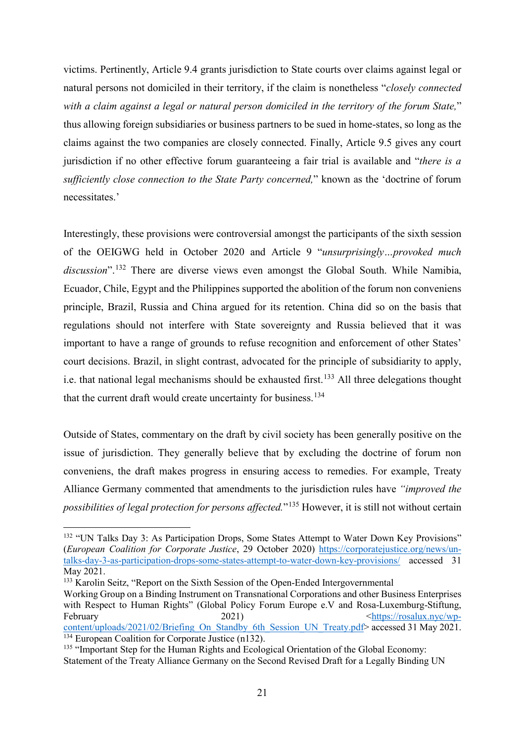victims. Pertinently, Article 9.4 grants jurisdiction to State courts over claims against legal or natural persons not domiciled in their territory, if the claim is nonetheless "*closely connected with a claim against a legal or natural person domiciled in the territory of the forum State,*" thus allowing foreign subsidiaries or business partners to be sued in home-states, so long as the claims against the two companies are closely connected. Finally, Article 9.5 gives any court jurisdiction if no other effective forum guaranteeing a fair trial is available and "*there is a sufficiently close connection to the State Party concerned,*" known as the 'doctrine of forum necessitates.'

Interestingly, these provisions were controversial amongst the participants of the sixth session of the OEIGWG held in October 2020 and Article 9 "*unsurprisingly…provoked much discussion*". [132](#page-22-0) There are diverse views even amongst the Global South. While Namibia, Ecuador, Chile, Egypt and the Philippines supported the abolition of the forum non conveniens principle, Brazil, Russia and China argued for its retention. China did so on the basis that regulations should not interfere with State sovereignty and Russia believed that it was important to have a range of grounds to refuse recognition and enforcement of other States' court decisions. Brazil, in slight contrast, advocated for the principle of subsidiarity to apply, i.e. that national legal mechanisms should be exhausted first.<sup>[133](#page-22-1)</sup> All three delegations thought that the current draft would create uncertainty for business.<sup>[134](#page-22-2)</sup>

Outside of States, commentary on the draft by civil society has been generally positive on the issue of jurisdiction. They generally believe that by excluding the doctrine of forum non conveniens, the draft makes progress in ensuring access to remedies. For example, Treaty Alliance Germany commented that amendments to the jurisdiction rules have *"improved the possibilities of legal protection for persons affected.*"[135](#page-22-3) However, it is still not without certain

<span id="page-22-1"></span><sup>133</sup> Karolin Seitz, "Report on the Sixth Session of the Open-Ended Intergovernmental

<span id="page-22-0"></span><sup>&</sup>lt;sup>132</sup> "UN Talks Day 3: As Participation Drops, Some States Attempt to Water Down Key Provisions" (*European Coalition for Corporate Justice*, 29 October 2020) [https://corporatejustice.org/news/un](https://corporatejustice.org/news/un-talks-day-3-as-participation-drops-some-states-attempt-to-water-down-key-provisions/)[talks-day-3-as-participation-drops-some-states-attempt-to-water-down-key-provisions/](https://corporatejustice.org/news/un-talks-day-3-as-participation-drops-some-states-attempt-to-water-down-key-provisions/) accessed 31 May 2021.

Working Group on a Binding Instrument on Transnational Corporations and other Business Enterprises with Respect to Human Rights" (Global Policy Forum Europe e.V and Rosa-Luxemburg-Stiftung, February 2021)  $\leftarrow$  2021)  $\leftarrow$  https://rosalux.nyc/wp[content/uploads/2021/02/Briefing\\_On\\_Standby\\_6th\\_Session\\_UN\\_Treaty.pdf>](https://rosalux.nyc/wp-content/uploads/2021/02/Briefing_On_Standby_6th_Session_UN_Treaty.pdf) accessed 31 May 2021.  $134$  European Coalition for Corporate Justice (n132).

<span id="page-22-3"></span><span id="page-22-2"></span><sup>&</sup>lt;sup>135</sup> "Important Step for the Human Rights and Ecological Orientation of the Global Economy: Statement of the Treaty Alliance Germany on the Second Revised Draft for a Legally Binding UN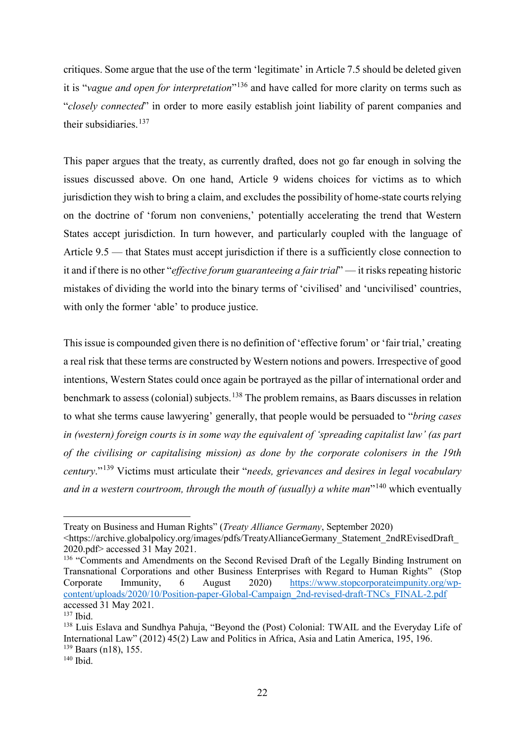critiques. Some argue that the use of the term 'legitimate' in Article 7.5 should be deleted given it is "*vague and open for interpretation*"[136](#page-23-0) and have called for more clarity on terms such as "*closely connected*" in order to more easily establish joint liability of parent companies and their subsidiaries.<sup>[137](#page-23-1)</sup>

This paper argues that the treaty, as currently drafted, does not go far enough in solving the issues discussed above. On one hand, Article 9 widens choices for victims as to which jurisdiction they wish to bring a claim, and excludes the possibility of home-state courts relying on the doctrine of 'forum non conveniens,' potentially accelerating the trend that Western States accept jurisdiction. In turn however, and particularly coupled with the language of Article 9.5 — that States must accept jurisdiction if there is a sufficiently close connection to it and if there is no other "*effective forum guaranteeing a fair trial*" — it risks repeating historic mistakes of dividing the world into the binary terms of 'civilised' and 'uncivilised' countries, with only the former 'able' to produce justice.

This issue is compounded given there is no definition of 'effective forum' or 'fair trial,' creating a real risk that these terms are constructed by Western notions and powers. Irrespective of good intentions, Western States could once again be portrayed as the pillar of international order and benchmark to assess (colonial) subjects.<sup>[138](#page-23-2)</sup> The problem remains, as Baars discusses in relation to what she terms cause lawyering' generally, that people would be persuaded to "*bring cases in (western) foreign courts is in some way the equivalent of 'spreading capitalist law' (as part of the civilising or capitalising mission) as done by the corporate colonisers in the 19th century*."[139](#page-23-3) Victims must articulate their "*needs, grievances and desires in legal vocabulary and in a western courtroom, through the mouth of (usually) a white man*"[140](#page-23-4) which eventually

-

Treaty on Business and Human Rights" (*Treaty Alliance Germany*, September 2020)

<sup>&</sup>lt;https://archive.globalpolicy.org/images/pdfs/TreatyAllianceGermany\_Statement\_2ndREvisedDraft\_ 2020.pdf> accessed 31 May 2021.

<span id="page-23-0"></span><sup>&</sup>lt;sup>136</sup> "Comments and Amendments on the Second Revised Draft of the Legally Binding Instrument on Transnational Corporations and other Business Enterprises with Regard to Human Rights" (Stop Corporate Immunity, 6 August 2020) [https://www.stopcorporateimpunity.org/wp](https://www.stopcorporateimpunity.org/wp-content/uploads/2020/10/Position-paper-Global-Campaign_2nd-revised-draft-TNCs_FINAL-2.pdf)[content/uploads/2020/10/Position-paper-Global-Campaign\\_2nd-revised-draft-TNCs\\_FINAL-2.pdf](https://www.stopcorporateimpunity.org/wp-content/uploads/2020/10/Position-paper-Global-Campaign_2nd-revised-draft-TNCs_FINAL-2.pdf) accessed 31 May 2021.

<span id="page-23-1"></span><sup>137</sup> Ibid.

<span id="page-23-2"></span><sup>&</sup>lt;sup>138</sup> Luis Eslava and Sundhya Pahuja, "Beyond the (Post) Colonial: TWAIL and the Everyday Life of International Law" (2012) 45(2) Law and Politics in Africa, Asia and Latin America, 195, 196. <sup>139</sup> Baars (n18), 155.

<span id="page-23-4"></span><span id="page-23-3"></span><sup>140</sup> Ibid.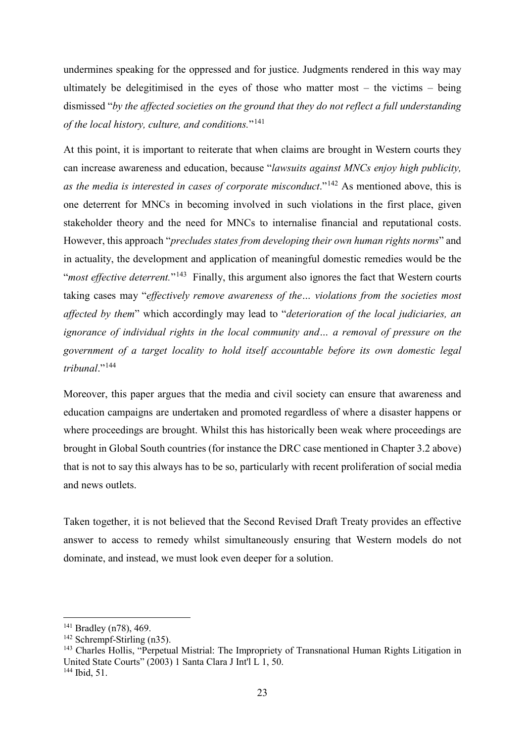undermines speaking for the oppressed and for justice. Judgments rendered in this way may ultimately be delegitimised in the eyes of those who matter most – the victims – being dismissed "*by the affected societies on the ground that they do not reflect a full understanding of the local history, culture, and conditions.*"[141](#page-24-0)

At this point, it is important to reiterate that when claims are brought in Western courts they can increase awareness and education, because "*lawsuits against MNCs enjoy high publicity, as the media is interested in cases of corporate misconduct.*"<sup>[142](#page-24-1)</sup> As mentioned above, this is one deterrent for MNCs in becoming involved in such violations in the first place, given stakeholder theory and the need for MNCs to internalise financial and reputational costs. However, this approach "*precludes states from developing their own human rights norms*" and in actuality, the development and application of meaningful domestic remedies would be the "*most effective deterrent.*"[143](#page-24-2) Finally, this argument also ignores the fact that Western courts taking cases may "*effectively remove awareness of the… violations from the societies most affected by them*" which accordingly may lead to "*deterioration of the local judiciaries, an ignorance of individual rights in the local community and… a removal of pressure on the government of a target locality to hold itself accountable before its own domestic legal tribunal*."[144](#page-24-3)

Moreover, this paper argues that the media and civil society can ensure that awareness and education campaigns are undertaken and promoted regardless of where a disaster happens or where proceedings are brought. Whilst this has historically been weak where proceedings are brought in Global South countries (for instance the DRC case mentioned in Chapter 3.2 above) that is not to say this always has to be so, particularly with recent proliferation of social media and news outlets.

Taken together, it is not believed that the Second Revised Draft Treaty provides an effective answer to access to remedy whilst simultaneously ensuring that Western models do not dominate, and instead, we must look even deeper for a solution.

<span id="page-24-0"></span><sup>&</sup>lt;sup>141</sup> Bradley (n78), 469.

<span id="page-24-1"></span><sup>&</sup>lt;sup>142</sup> Schrempf-Stirling (n35).

<span id="page-24-2"></span><sup>143</sup> Charles Hollis, "Perpetual Mistrial: The Impropriety of Transnational Human Rights Litigation in United State Courts"  $(2003)$  1 Santa Clara J Int<sup>'</sup>l L 1, 50.

<span id="page-24-3"></span><sup>144</sup> Ibid, 51.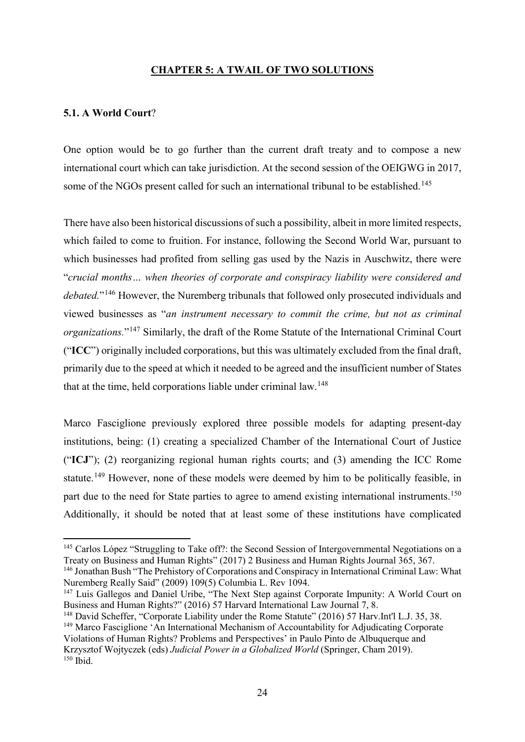### <span id="page-25-1"></span><span id="page-25-0"></span>**CHAPTER 5: A TWAIL OF TWO SOLUTIONS**

#### **5.1. A World Court**?

One option would be to go further than the current draft treaty and to compose a new international court which can take jurisdiction. At the second session of the OEIGWG in 2017, some of the NGOs present called for such an international tribunal to be established.<sup>[145](#page-25-2)</sup>

There have also been historical discussions of such a possibility, albeit in more limited respects, which failed to come to fruition. For instance, following the Second World War, pursuant to which businesses had profited from selling gas used by the Nazis in Auschwitz, there were "*crucial months… when theories of corporate and conspiracy liability were considered and debated.*"[146](#page-25-3) However, the Nuremberg tribunals that followed only prosecuted individuals and viewed businesses as "*an instrument necessary to commit the crime, but not as criminal organizations.*"[147](#page-25-4) Similarly, the draft of the Rome Statute of the International Criminal Court ("**ICC**") originally included corporations, but this was ultimately excluded from the final draft, primarily due to the speed at which it needed to be agreed and the insufficient number of States that at the time, held corporations liable under criminal law.<sup>[148](#page-25-5)</sup>

Marco Fasciglione previously explored three possible models for adapting present-day institutions, being: (1) creating a specialized Chamber of the International Court of Justice ("**ICJ**"); (2) reorganizing regional human rights courts; and (3) amending the ICC Rome statute.<sup>[149](#page-25-6)</sup> However, none of these models were deemed by him to be politically feasible, in part due to the need for State parties to agree to amend existing international instruments.<sup>[150](#page-25-7)</sup> Additionally, it should be noted that at least some of these institutions have complicated

<span id="page-25-2"></span><sup>&</sup>lt;sup>145</sup> Carlos López "Struggling to Take off?: the Second Session of Intergovernmental Negotiations on a Treaty on Business and Human Rights" (2017) 2 Business and Human Rights Journal 365, 367.

<span id="page-25-3"></span><sup>&</sup>lt;sup>146</sup> Jonathan Bush "The Prehistory of Corporations and Conspiracy in International Criminal Law: What Nuremberg Really Said" (2009) 109(5) Columbia L. Rev 1094.

<span id="page-25-4"></span><sup>&</sup>lt;sup>147</sup> Luis Gallegos and Daniel Uribe, "The Next Step against Corporate Impunity: A World Court on Business and Human Rights?" (2016) 57 Harvard International Law Journal 7, 8.

<span id="page-25-7"></span><span id="page-25-6"></span><span id="page-25-5"></span><sup>148</sup> David Scheffer, "Corporate Liability under the Rome Statute" (2016) 57 Harv.Int'l L.J. 35, 38. <sup>149</sup> Marco Fasciglione 'An International Mechanism of Accountability for Adjudicating Corporate Violations of Human Rights? Problems and Perspectives' in Paulo Pinto de Albuquerque and Krzysztof Wojtyczek (eds) *Judicial Power in a Globalized World* (Springer, Cham 2019).  $150$  Ibid.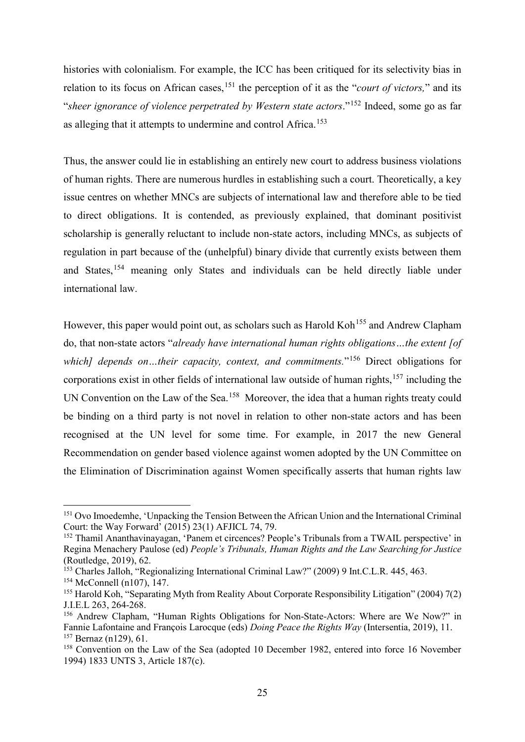histories with colonialism. For example, the ICC has been critiqued for its selectivity bias in relation to its focus on African cases,<sup>[151](#page-26-0)</sup> the perception of it as the "*court of victors*," and its "*sheer ignorance of violence perpetrated by Western state actors*."[152](#page-26-1) Indeed, some go as far as alleging that it attempts to undermine and control Africa.<sup>[153](#page-26-2)</sup>

Thus, the answer could lie in establishing an entirely new court to address business violations of human rights. There are numerous hurdles in establishing such a court. Theoretically, a key issue centres on whether MNCs are subjects of international law and therefore able to be tied to direct obligations. It is contended, as previously explained, that dominant positivist scholarship is generally reluctant to include non-state actors, including MNCs, as subjects of regulation in part because of the (unhelpful) binary divide that currently exists between them and States,[154](#page-26-3) meaning only States and individuals can be held directly liable under international law.

However, this paper would point out, as scholars such as Harold Koh<sup>[155](#page-26-4)</sup> and Andrew Clapham do, that non-state actors "*already have international human rights obligations…the extent [of which]* depends on…their capacity, context, and commitments."<sup>[156](#page-26-5)</sup> Direct obligations for corporations exist in other fields of international law outside of human rights, $157$  including the UN Convention on the Law of the Sea.<sup>158</sup> Moreover, the idea that a human rights treaty could be binding on a third party is not novel in relation to other non-state actors and has been recognised at the UN level for some time. For example, in 2017 the new General Recommendation on gender based violence against women adopted by the UN Committee on the Elimination of Discrimination against Women specifically asserts that human rights law

<span id="page-26-0"></span><sup>&</sup>lt;sup>151</sup> Ovo Imoedemhe, 'Unpacking the Tension Between the African Union and the International Criminal Court: the Way Forward' (2015) 23(1) AFJICL 74, 79.

<span id="page-26-1"></span><sup>&</sup>lt;sup>152</sup> Thamil Ananthavinayagan, 'Panem et circences? People's Tribunals from a TWAIL perspective' in Regina Menachery Paulose (ed) *People's Tribunals, Human Rights and the Law Searching for Justice*  (Routledge, 2019), 62.

<span id="page-26-2"></span><sup>&</sup>lt;sup>153</sup> Charles Jalloh, "Regionalizing International Criminal Law?" (2009) 9 Int.C.L.R. 445, 463.

<span id="page-26-3"></span><sup>154</sup> McConnell (n107), 147.

<span id="page-26-4"></span><sup>&</sup>lt;sup>155</sup> Harold Koh, "Separating Myth from Reality About Corporate Responsibility Litigation" (2004) 7(2) J.I.E.L 263, 264-268.

<span id="page-26-5"></span><sup>&</sup>lt;sup>156</sup> Andrew Clapham, "Human Rights Obligations for Non-State-Actors: Where are We Now?" in Fannie Lafontaine and François Larocque (eds) *Doing Peace the Rights Way* (Intersentia, 2019), 11. <sup>157</sup> Bernaz (n129), 61.

<span id="page-26-7"></span><span id="page-26-6"></span><sup>&</sup>lt;sup>158</sup> Convention on the Law of the Sea (adopted 10 December 1982, entered into force 16 November 1994) 1833 UNTS 3, Article 187(c).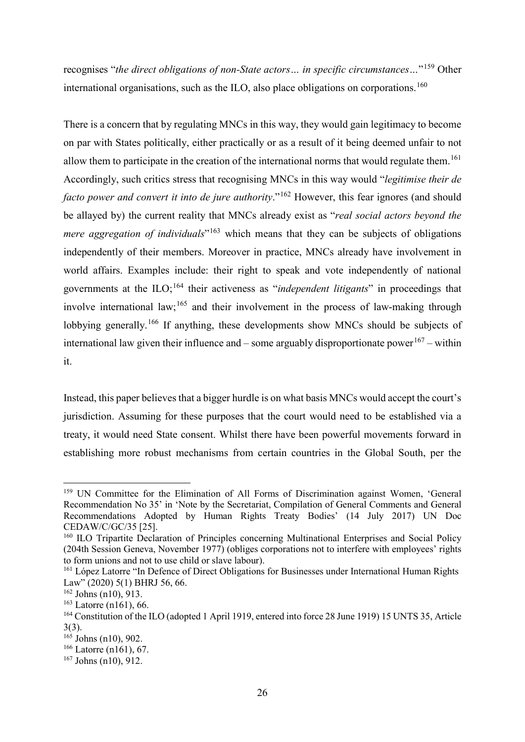recognises "*the direct obligations of non-State actors… in specific circumstances…*"[159](#page-27-0) Other international organisations, such as the ILO, also place obligations on corporations.<sup>[160](#page-27-1)</sup>

There is a concern that by regulating MNCs in this way, they would gain legitimacy to become on par with States politically, either practically or as a result of it being deemed unfair to not allow them to participate in the creation of the international norms that would regulate them.<sup>[161](#page-27-2)</sup> Accordingly, such critics stress that recognising MNCs in this way would "*legitimise their de facto power and convert it into de jure authority*."<sup>[162](#page-27-3)</sup> However, this fear ignores (and should be allayed by) the current reality that MNCs already exist as "*real social actors beyond the mere aggregation of individuals*<sup>"[163](#page-27-4)</sup> which means that they can be subjects of obligations independently of their members. Moreover in practice, MNCs already have involvement in world affairs. Examples include: their right to speak and vote independently of national governments at the ILO;[164](#page-27-5) their activeness as "*independent litigants*" in proceedings that involve international law;<sup>[165](#page-27-6)</sup> and their involvement in the process of law-making through lobbying generally.<sup>[166](#page-27-7)</sup> If anything, these developments show MNCs should be subjects of international law given their influence and – some arguably disproportionate power<sup>[167](#page-27-8)</sup> – within it.

Instead, this paper believes that a bigger hurdle is on what basis MNCs would accept the court's jurisdiction. Assuming for these purposes that the court would need to be established via a treaty, it would need State consent. Whilst there have been powerful movements forward in establishing more robust mechanisms from certain countries in the Global South, per the

<span id="page-27-0"></span> <sup>159</sup> UN Committee for the Elimination of All Forms of Discrimination against Women, 'General Recommendation No 35' in 'Note by the Secretariat, Compilation of General Comments and General Recommendations Adopted by Human Rights Treaty Bodies' (14 July 2017) UN Doc CEDAW/C/GC/35 [25].

<span id="page-27-1"></span><sup>&</sup>lt;sup>160</sup> ILO Tripartite Declaration of Principles concerning Multinational Enterprises and Social Policy (204th Session Geneva, November 1977) (obliges corporations not to interfere with employees' rights to form unions and not to use child or slave labour).

<span id="page-27-2"></span><sup>&</sup>lt;sup>161</sup> López Latorre "In Defence of Direct Obligations for Businesses under International Human Rights Law" (2020) 5(1) BHRJ 56, 66.

<span id="page-27-3"></span><sup>162</sup> Johns (n10), 913.

<span id="page-27-4"></span><sup>163</sup> Latorre (n161), 66.

<span id="page-27-5"></span><sup>164</sup> Constitution of the ILO (adopted 1 April 1919, entered into force 28 June 1919) 15 UNTS 35, Article 3(3).

<span id="page-27-6"></span> $165$  Johns (n10), 902.

<span id="page-27-7"></span><sup>166</sup> Latorre (n161), 67.

<span id="page-27-8"></span> $167$  Johns (n10), 912.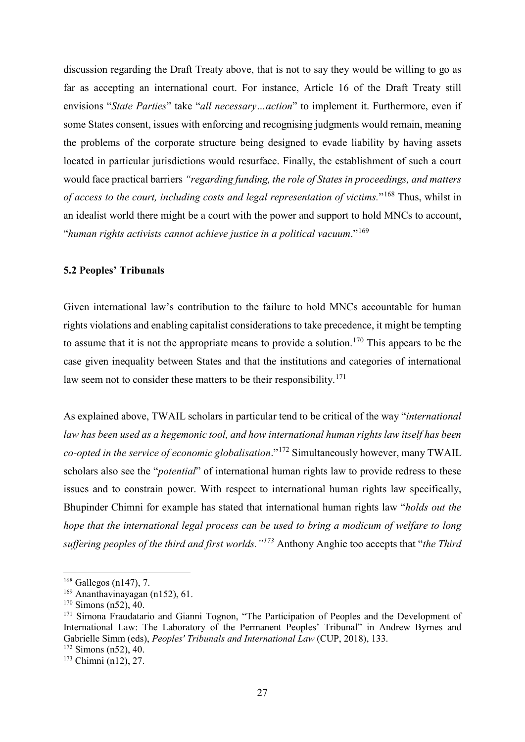discussion regarding the Draft Treaty above, that is not to say they would be willing to go as far as accepting an international court. For instance, Article 16 of the Draft Treaty still envisions "*State Parties*" take "*all necessary…action*" to implement it. Furthermore, even if some States consent, issues with enforcing and recognising judgments would remain, meaning the problems of the corporate structure being designed to evade liability by having assets located in particular jurisdictions would resurface. Finally, the establishment of such a court would face practical barriers *"regarding funding, the role of States in proceedings, and matters of access to the court, including costs and legal representation of victims.*"[168](#page-28-1) Thus, whilst in an idealist world there might be a court with the power and support to hold MNCs to account, "*human rights activists cannot achieve justice in a political vacuum*."[169](#page-28-2)

### <span id="page-28-0"></span>**5.2 Peoples' Tribunals**

Given international law's contribution to the failure to hold MNCs accountable for human rights violations and enabling capitalist considerations to take precedence, it might be tempting to assume that it is not the appropriate means to provide a solution.<sup>[170](#page-28-3)</sup> This appears to be the case given inequality between States and that the institutions and categories of international law seem not to consider these matters to be their responsibility.<sup>[171](#page-28-4)</sup>

As explained above, TWAIL scholars in particular tend to be critical of the way "*international law has been used as a hegemonic tool, and how international human rights law itself has been co-opted in the service of economic globalisation*."[172](#page-28-5) Simultaneously however, many TWAIL scholars also see the "*potential*" of international human rights law to provide redress to these issues and to constrain power. With respect to international human rights law specifically, Bhupinder Chimni for example has stated that international human rights law "*holds out the hope that the international legal process can be used to bring a modicum of welfare to long suffering peoples of the third and first worlds."[173](#page-28-6)* Anthony Anghie too accepts that "*the Third* 

<span id="page-28-1"></span> $168$  Gallegos (n147), 7.

<span id="page-28-2"></span><sup>169</sup> Ananthavinayagan (n152), 61.

<span id="page-28-3"></span> $170$  Simons (n52), 40.

<span id="page-28-4"></span><sup>&</sup>lt;sup>171</sup> Simona Fraudatario and Gianni Tognon, "The Participation of Peoples and the Development of International Law: The Laboratory of the Permanent Peoples' Tribunal" in Andrew Byrnes and Gabrielle Simm (eds), *Peoples' Tribunals and International Law* (CUP, 2018), 133.

<span id="page-28-5"></span><sup>172</sup> Simons (n52), 40.

<span id="page-28-6"></span><sup>173</sup> Chimni (n12), 27.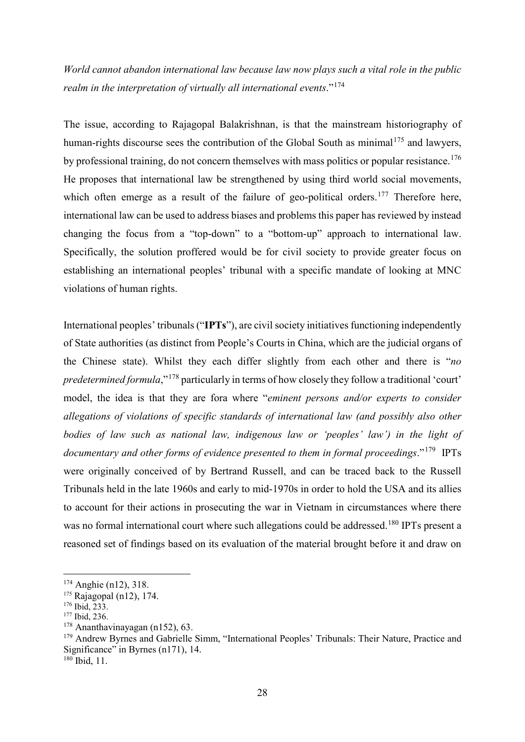*World cannot abandon international law because law now plays such a vital role in the public realm in the interpretation of virtually all international events*."[174](#page-29-0)

The issue, according to Rajagopal Balakrishnan, is that the mainstream historiography of human-rights discourse sees the contribution of the Global South as minimal<sup>[175](#page-29-1)</sup> and lawyers, by professional training, do not concern themselves with mass politics or popular resistance.<sup>[176](#page-29-2)</sup> He proposes that international law be strengthened by using third world social movements, which often emerge as a result of the failure of geo-political orders.<sup>[177](#page-29-3)</sup> Therefore here, international law can be used to address biases and problems this paper has reviewed by instead changing the focus from a "top-down" to a "bottom-up" approach to international law. Specifically, the solution proffered would be for civil society to provide greater focus on establishing an international peoples' tribunal with a specific mandate of looking at MNC violations of human rights.

International peoples' tribunals ("IPTs"), are civil society initiatives functioning independently of State authorities (as distinct from People's Courts in China, which are the judicial organs of the Chinese state). Whilst they each differ slightly from each other and there is "*no predetermined formula*,"[178](#page-29-4) particularly in terms of how closely they follow a traditional 'court' model, the idea is that they are fora where "*eminent persons and/or experts to consider allegations of violations of specific standards of international law (and possibly also other bodies of law such as national law, indigenous law or 'peoples' law') in the light of documentary and other forms of evidence presented to them in formal proceedings*."[179](#page-29-5) IPTs were originally conceived of by Bertrand Russell, and can be traced back to the Russell Tribunals held in the late 1960s and early to mid-1970s in order to hold the USA and its allies to account for their actions in prosecuting the war in Vietnam in circumstances where there was no formal international court where such allegations could be addressed.<sup>[180](#page-29-6)</sup> IPTs present a reasoned set of findings based on its evaluation of the material brought before it and draw on

<span id="page-29-6"></span><sup>180</sup> Ibid, 11.

<span id="page-29-0"></span> <sup>174</sup> Anghie (n12), 318.

<span id="page-29-1"></span><sup>&</sup>lt;sup>175</sup> Rajagopal (n12), 174.

<span id="page-29-2"></span><sup>176</sup> Ibid, 233.

<span id="page-29-3"></span><sup>177</sup> Ibid, 236.

<span id="page-29-4"></span> $178$  Ananthavinayagan (n152), 63.

<span id="page-29-5"></span><sup>&</sup>lt;sup>179</sup> Andrew Byrnes and Gabrielle Simm, "International Peoples' Tribunals: Their Nature, Practice and Significance" in Byrnes (n171), 14.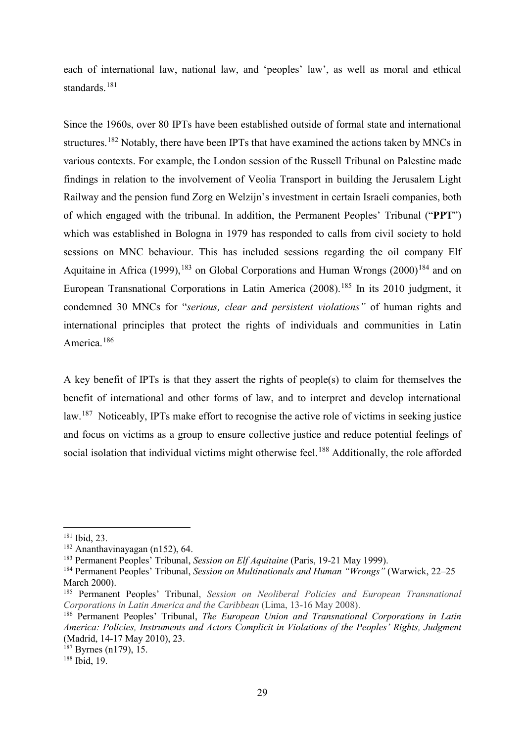each of international law, national law, and 'peoples' law', as well as moral and ethical standards. [181](#page-30-0)

Since the 1960s, over 80 IPTs have been established outside of formal state and international structures.<sup>[182](#page-30-1)</sup> Notably, there have been IPTs that have examined the actions taken by MNCs in various contexts. For example, the London session of the Russell Tribunal on Palestine made findings in relation to the involvement of Veolia Transport in building the Jerusalem Light Railway and the pension fund Zorg en Welzijn's investment in certain Israeli companies, both of which engaged with the tribunal. In addition, the Permanent Peoples' Tribunal ("**PPT**") which was established in Bologna in 1979 has responded to calls from civil society to hold sessions on MNC behaviour. This has included sessions regarding the oil company Elf Aquitaine in Africa (1999),  $183$  on Global Corporations and Human Wrongs (2000) $184$  and on European Transnational Corporations in Latin America (2008).<sup>[185](#page-30-4)</sup> In its 2010 judgment, it condemned 30 MNCs for "*serious, clear and persistent violations"* of human rights and international principles that protect the rights of individuals and communities in Latin America. [186](#page-30-5)

A key benefit of IPTs is that they assert the rights of people(s) to claim for themselves the benefit of international and other forms of law, and to interpret and develop international law.<sup>[187](#page-30-6)</sup> Noticeably, IPTs make effort to recognise the active role of victims in seeking justice and focus on victims as a group to ensure collective justice and reduce potential feelings of social isolation that individual victims might otherwise feel.<sup>[188](#page-30-7)</sup> Additionally, the role afforded

<span id="page-30-0"></span> <sup>181</sup> Ibid, 23.

<span id="page-30-1"></span> $182$  Ananthavinayagan (n152), 64.

<span id="page-30-2"></span><sup>183</sup> Permanent Peoples' Tribunal, *Session on Elf Aquitaine* (Paris, 19-21 May 1999).

<span id="page-30-3"></span><sup>184</sup> Permanent Peoples' Tribunal, *Session on Multinationals and Human "Wrongs"* (Warwick, 22–25 March 2000).

<span id="page-30-4"></span><sup>185</sup> Permanent Peoples' Tribunal, *Session on Neoliberal Policies and European Transnational Corporations in Latin America and the Caribbean* (Lima, 13-16 May 2008).

<span id="page-30-5"></span><sup>186</sup> Permanent Peoples' Tribunal, *The European Union and Transnational Corporations in Latin America: Policies, Instruments and Actors Complicit in Violations of the Peoples' Rights, Judgment* (Madrid, 14-17 May 2010), 23.

<span id="page-30-6"></span><sup>187</sup> Byrnes (n179), 15.

<span id="page-30-7"></span><sup>188</sup> Ibid, 19.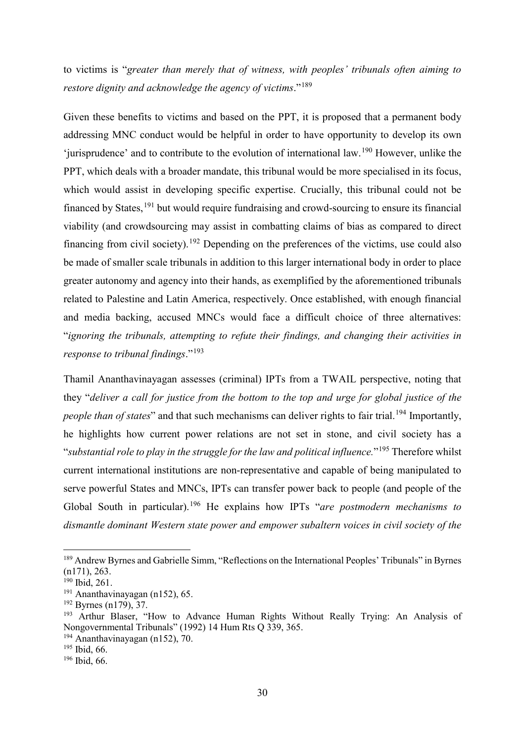to victims is "*greater than merely that of witness, with peoples' tribunals often aiming to restore dignity and acknowledge the agency of victims*."[189](#page-31-0)

Given these benefits to victims and based on the PPT, it is proposed that a permanent body addressing MNC conduct would be helpful in order to have opportunity to develop its own 'jurisprudence' and to contribute to the evolution of international law.[190](#page-31-1) However, unlike the PPT, which deals with a broader mandate, this tribunal would be more specialised in its focus, which would assist in developing specific expertise. Crucially, this tribunal could not be financed by States,  $191$  but would require fundraising and crowd-sourcing to ensure its financial viability (and crowdsourcing may assist in combatting claims of bias as compared to direct financing from civil society).<sup>[192](#page-31-3)</sup> Depending on the preferences of the victims, use could also be made of smaller scale tribunals in addition to this larger international body in order to place greater autonomy and agency into their hands, as exemplified by the aforementioned tribunals related to Palestine and Latin America, respectively. Once established, with enough financial and media backing, accused MNCs would face a difficult choice of three alternatives: "*ignoring the tribunals, attempting to refute their findings, and changing their activities in response to tribunal findings*."[193](#page-31-4)

Thamil Ananthavinayagan assesses (criminal) IPTs from a TWAIL perspective, noting that they "*deliver a call for justice from the bottom to the top and urge for global justice of the people than of states*" and that such mechanisms can deliver rights to fair trial.<sup>[194](#page-31-5)</sup> Importantly, he highlights how current power relations are not set in stone, and civil society has a "*substantial role to play in the struggle for the law and political influence.*"[195](#page-31-6) Therefore whilst current international institutions are non-representative and capable of being manipulated to serve powerful States and MNCs, IPTs can transfer power back to people (and people of the Global South in particular).[196](#page-31-7) He explains how IPTs "*are postmodern mechanisms to dismantle dominant Western state power and empower subaltern voices in civil society of the* 

<span id="page-31-0"></span><sup>&</sup>lt;sup>189</sup> Andrew Byrnes and Gabrielle Simm, "Reflections on the International Peoples' Tribunals" in Byrnes (n171), 263.

<span id="page-31-1"></span><sup>190</sup> Ibid, 261.

<span id="page-31-2"></span><sup>191</sup> Ananthavinayagan (n152), 65.

<span id="page-31-3"></span><sup>192</sup> Byrnes (n179), 37.

<span id="page-31-4"></span><sup>193</sup> Arthur Blaser, "How to Advance Human Rights Without Really Trying: An Analysis of Nongovernmental Tribunals" (1992) 14 Hum Rts Q 339, 365.

<span id="page-31-5"></span> $194$  Ananthavinayagan (n152), 70.

<span id="page-31-6"></span><sup>195</sup> Ibid, 66.

<span id="page-31-7"></span><sup>196</sup> Ibid, 66.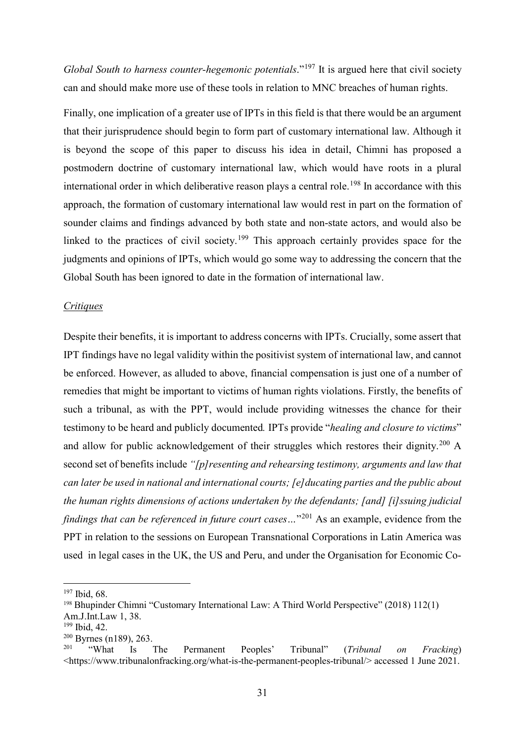*Global South to harness counter-hegemonic potentials.*"<sup>[197](#page-32-0)</sup> It is argued here that civil society can and should make more use of these tools in relation to MNC breaches of human rights.

Finally, one implication of a greater use of IPTs in this field is that there would be an argument that their jurisprudence should begin to form part of customary international law. Although it is beyond the scope of this paper to discuss his idea in detail, Chimni has proposed a postmodern doctrine of customary international law, which would have roots in a plural international order in which deliberative reason plays a central role.<sup>[198](#page-32-1)</sup> In accordance with this approach, the formation of customary international law would rest in part on the formation of sounder claims and findings advanced by both state and non-state actors, and would also be linked to the practices of civil society.[199](#page-32-2) This approach certainly provides space for the judgments and opinions of IPTs, which would go some way to addressing the concern that the Global South has been ignored to date in the formation of international law.

#### *Critiques*

Despite their benefits, it is important to address concerns with IPTs. Crucially, some assert that IPT findings have no legal validity within the positivist system of international law, and cannot be enforced. However, as alluded to above, financial compensation is just one of a number of remedies that might be important to victims of human rights violations. Firstly, the benefits of such a tribunal, as with the PPT, would include providing witnesses the chance for their testimony to be heard and publicly documented*.* IPTs provide "*healing and closure to victims*" and allow for public acknowledgement of their struggles which restores their dignity.<sup>[200](#page-32-3)</sup> A second set of benefits include *"[p]resenting and rehearsing testimony, arguments and law that can later be used in national and international courts; [e]ducating parties and the public about the human rights dimensions of actions undertaken by the defendants; [and] [i]ssuing judicial findings that can be referenced in future court cases...*"<sup>[201](#page-32-4)</sup> As an example, evidence from the PPT in relation to the sessions on European Transnational Corporations in Latin America was used in legal cases in the UK, the US and Peru, and under the Organisation for Economic Co-

<span id="page-32-0"></span> <sup>197</sup> Ibid, 68.

<span id="page-32-1"></span><sup>198</sup> Bhupinder Chimni "Customary International Law: A Third World Perspective" (2018) 112(1)

Am.J.Int.Law 1, 38.

<span id="page-32-2"></span><sup>199</sup> Ibid, 42.

<span id="page-32-3"></span> $^{200}_{201}$  Byrnes (n189), 263.<br> $^{201}_{201}$  "What Is"

<span id="page-32-4"></span><sup>201</sup> "What Is The Permanent Peoples' Tribunal" (*Tribunal on Fracking*) <https://www.tribunalonfracking.org/what-is-the-permanent-peoples-tribunal/> accessed 1 June 2021.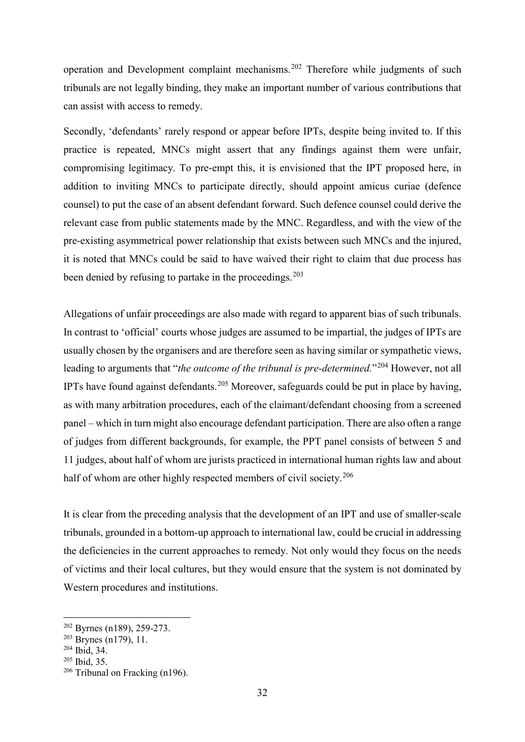operation and Development complaint mechanisms.[202](#page-33-0) Therefore while judgments of such tribunals are not legally binding, they make an important number of various contributions that can assist with access to remedy.

Secondly, 'defendants' rarely respond or appear before IPTs, despite being invited to. If this practice is repeated, MNCs might assert that any findings against them were unfair, compromising legitimacy. To pre-empt this, it is envisioned that the IPT proposed here, in addition to inviting MNCs to participate directly, should appoint amicus curiae (defence counsel) to put the case of an absent defendant forward. Such defence counsel could derive the relevant case from public statements made by the MNC. Regardless, and with the view of the pre-existing asymmetrical power relationship that exists between such MNCs and the injured, it is noted that MNCs could be said to have waived their right to claim that due process has been denied by refusing to partake in the proceedings.<sup>[203](#page-33-1)</sup>

Allegations of unfair proceedings are also made with regard to apparent bias of such tribunals. In contrast to 'official' courts whose judges are assumed to be impartial, the judges of IPTs are usually chosen by the organisers and are therefore seen as having similar or sympathetic views, leading to arguments that "*the outcome of the tribunal is pre-determined.*"[204](#page-33-2) However, not all IPTs have found against defendants.<sup>[205](#page-33-3)</sup> Moreover, safeguards could be put in place by having, as with many arbitration procedures, each of the claimant/defendant choosing from a screened panel – which in turn might also encourage defendant participation. There are also often a range of judges from different backgrounds, for example, the PPT panel consists of between 5 and 11 judges, about half of whom are jurists practiced in international human rights law and about half of whom are other highly respected members of civil society.<sup>[206](#page-33-4)</sup>

It is clear from the preceding analysis that the development of an IPT and use of smaller-scale tribunals, grounded in a bottom-up approach to international law, could be crucial in addressing the deficiencies in the current approaches to remedy. Not only would they focus on the needs of victims and their local cultures, but they would ensure that the system is not dominated by Western procedures and institutions.

<span id="page-33-0"></span> <sup>202</sup> Byrnes (n189), 259-273.

<span id="page-33-1"></span><sup>&</sup>lt;sup>203</sup> Brynes (n179), 11.

<span id="page-33-2"></span><sup>204</sup> Ibid, 34.

<span id="page-33-3"></span><sup>205</sup> Ibid, 35.

<span id="page-33-4"></span><sup>206</sup> Tribunal on Fracking (n196).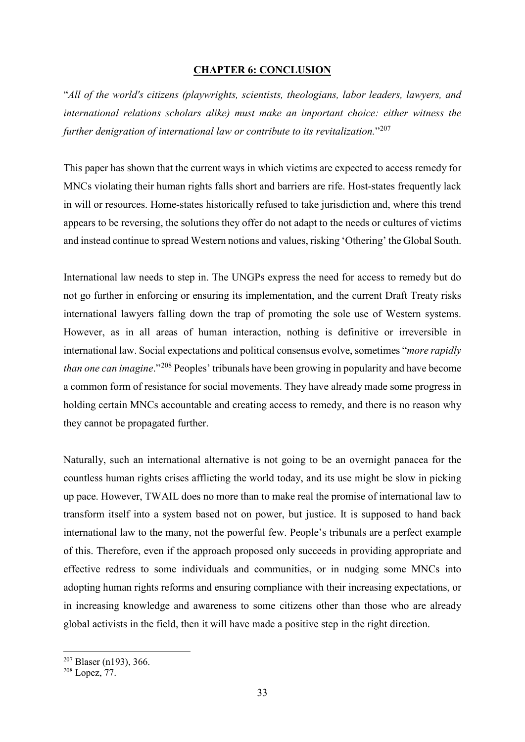### <span id="page-34-0"></span>**CHAPTER 6: CONCLUSION**

"*All of the world's citizens (playwrights, scientists, theologians, labor leaders, lawyers, and international relations scholars alike) must make an important choice: either witness the further denigration of international law or contribute to its revitalization.*"[207](#page-34-1)

This paper has shown that the current ways in which victims are expected to access remedy for MNCs violating their human rights falls short and barriers are rife. Host-states frequently lack in will or resources. Home-states historically refused to take jurisdiction and, where this trend appears to be reversing, the solutions they offer do not adapt to the needs or cultures of victims and instead continue to spread Western notions and values, risking 'Othering' the Global South.

International law needs to step in. The UNGPs express the need for access to remedy but do not go further in enforcing or ensuring its implementation, and the current Draft Treaty risks international lawyers falling down the trap of promoting the sole use of Western systems. However, as in all areas of human interaction, nothing is definitive or irreversible in international law. Social expectations and political consensus evolve, sometimes "*more rapidly than one can imagine*."[208](#page-34-2) Peoples' tribunals have been growing in popularity and have become a common form of resistance for social movements. They have already made some progress in holding certain MNCs accountable and creating access to remedy, and there is no reason why they cannot be propagated further.

Naturally, such an international alternative is not going to be an overnight panacea for the countless human rights crises afflicting the world today, and its use might be slow in picking up pace. However, TWAIL does no more than to make real the promise of international law to transform itself into a system based not on power, but justice. It is supposed to hand back international law to the many, not the powerful few. People's tribunals are a perfect example of this. Therefore, even if the approach proposed only succeeds in providing appropriate and effective redress to some individuals and communities, or in nudging some MNCs into adopting human rights reforms and ensuring compliance with their increasing expectations, or in increasing knowledge and awareness to some citizens other than those who are already global activists in the field, then it will have made a positive step in the right direction.

<span id="page-34-1"></span> <sup>207</sup> Blaser (n193), 366.

<span id="page-34-2"></span><sup>208</sup> Lopez, 77.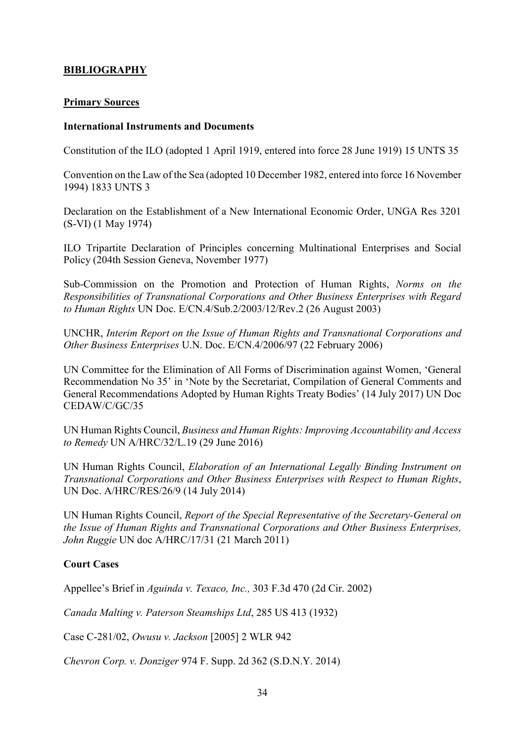# <span id="page-35-0"></span>**BIBLIOGRAPHY**

# **Primary Sources**

### **International Instruments and Documents**

Constitution of the ILO (adopted 1 April 1919, entered into force 28 June 1919) 15 UNTS 35

Convention on the Law of the Sea (adopted 10 December 1982, entered into force 16 November 1994) 1833 UNTS 3

Declaration on the Establishment of a New International Economic Order, UNGA Res 3201 (S-VI) (1 May 1974)

ILO Tripartite Declaration of Principles concerning Multinational Enterprises and Social Policy (204th Session Geneva, November 1977)

Sub-Commission on the Promotion and Protection of Human Rights, *Norms on the Responsibilities of Transnational Corporations and Other Business Enterprises with Regard to Human Rights* UN Doc. E/CN.4/Sub.2/2003/12/Rev.2 (26 August 2003)

UNCHR, *Interim Report on the Issue of Human Rights and Transnational Corporations and Other Business Enterprises* U.N. Doc. E/CN.4/2006/97 (22 February 2006)

UN Committee for the Elimination of All Forms of Discrimination against Women, 'General Recommendation No 35' in 'Note by the Secretariat, Compilation of General Comments and General Recommendations Adopted by Human Rights Treaty Bodies' (14 July 2017) UN Doc CEDAW/C/GC/35

UN Human Rights Council, *Business and Human Rights: Improving Accountability and Access to Remedy* UN A/HRC/32/L.19 (29 June 2016)

UN Human Rights Council, *Elaboration of an International Legally Binding Instrument on Transnational Corporations and Other Business Enterprises with Respect to Human Rights*, UN Doc. A/HRC/RES/26/9 (14 July 2014)

UN Human Rights Council, *Report of the Special Representative of the Secretary-General on the Issue of Human Rights and Transnational Corporations and Other Business Enterprises, John Ruggie* UN doc A/HRC/17/31 (21 March 2011)

# **Court Cases**

Appellee's Brief in *Aguinda v. Texaco, Inc.,* 303 F.3d 470 (2d Cir. 2002)

*Canada Malting v. Paterson Steamships Ltd*, 285 US 413 (1932)

Case C-281/02, *Owusu v. Jackson* [2005] 2 WLR 942

*Chevron Corp. v. Donziger* 974 F. Supp. 2d 362 (S.D.N.Y. 2014)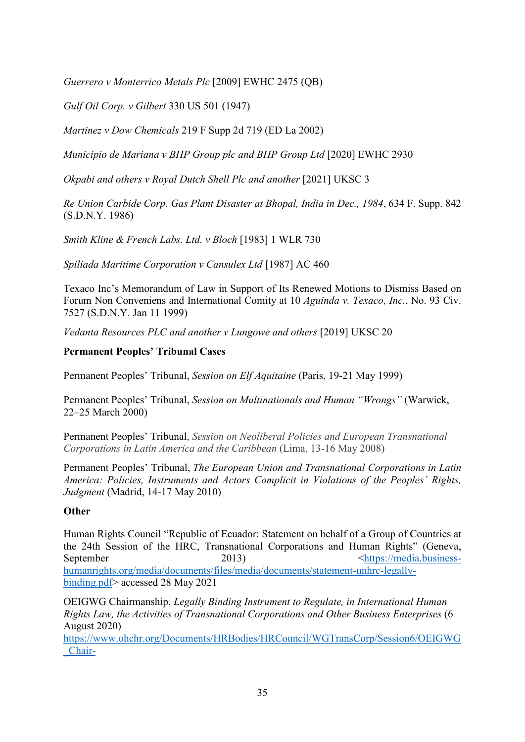*Guerrero v Monterrico Metals Plc* [2009] EWHC 2475 (QB)

*Gulf Oil Corp. v Gilbert* 330 US 501 (1947)

*Martinez v Dow Chemicals* 219 F Supp 2d 719 (ED La 2002)

*Municipio de Mariana v BHP Group plc and BHP Group Ltd* [2020] EWHC 2930

*Okpabi and others v Royal Dutch Shell Plc and another* [2021] UKSC 3

*Re Union Carbide Corp. Gas Plant Disaster at Bhopal, India in Dec., 1984*, 634 F. Supp. 842 (S.D.N.Y. 1986)

*Smith Kline & French Labs. Ltd. v Bloch* [1983] 1 WLR 730

*Spiliada Maritime Corporation v Cansulex Ltd* [1987] AC 460

Texaco Inc's Memorandum of Law in Support of Its Renewed Motions to Dismiss Based on Forum Non Conveniens and International Comity at 10 *Aguinda v. Texaco, Inc.*, No. 93 Civ. 7527 (S.D.N.Y. Jan 11 1999)

*Vedanta Resources PLC and another v Lungowe and others* [2019] UKSC 20

# **Permanent Peoples' Tribunal Cases**

Permanent Peoples' Tribunal, *Session on Elf Aquitaine* (Paris, 19-21 May 1999)

Permanent Peoples' Tribunal, *Session on Multinationals and Human "Wrongs"* (Warwick, 22–25 March 2000)

Permanent Peoples' Tribunal, *Session on Neoliberal Policies and European Transnational Corporations in Latin America and the Caribbean* (Lima, 13-16 May 2008)

Permanent Peoples' Tribunal, *The European Union and Transnational Corporations in Latin America: Policies, Instruments and Actors Complicit in Violations of the Peoples' Rights, Judgment* (Madrid, 14-17 May 2010)

# **Other**

Human Rights Council "Republic of Ecuador: Statement on behalf of a Group of Countries at the 24th Session of the HRC, Transnational Corporations and Human Rights" (Geneva, September 2013) September 2013 [humanrights.org/media/documents/files/media/documents/statement-unhrc-legally](https://media.business-humanrights.org/media/documents/files/media/documents/statement-unhrc-legally-binding.pdf)[binding.pdf>](https://media.business-humanrights.org/media/documents/files/media/documents/statement-unhrc-legally-binding.pdf) accessed 28 May 2021

OEIGWG Chairmanship, *Legally Binding Instrument to Regulate, in International Human Rights Law, the Activities of Transnational Corporations and Other Business Enterprises* (6 August 2020)

[https://www.ohchr.org/Documents/HRBodies/HRCouncil/WGTransCorp/Session6/OEIGWG](https://www.ohchr.org/Documents/HRBodies/HRCouncil/WGTransCorp/Session6/OEIGWG_Chair-Rapporteur_second_revised_draft_LBI_on_TNCs_and_OBEs_with_respect_to_Human_Rights.pdf) [\\_Chair-](https://www.ohchr.org/Documents/HRBodies/HRCouncil/WGTransCorp/Session6/OEIGWG_Chair-Rapporteur_second_revised_draft_LBI_on_TNCs_and_OBEs_with_respect_to_Human_Rights.pdf)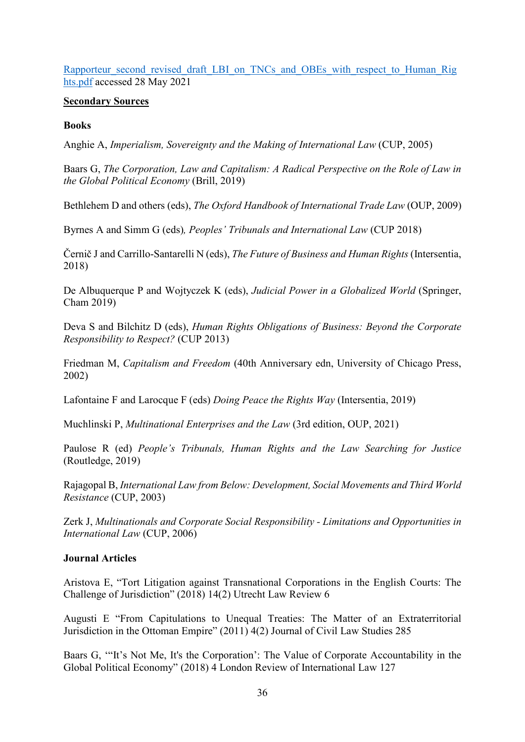Rapporteur second revised draft LBI on TNCs and OBEs with respect to Human Rig [hts.pdf](https://www.ohchr.org/Documents/HRBodies/HRCouncil/WGTransCorp/Session6/OEIGWG_Chair-Rapporteur_second_revised_draft_LBI_on_TNCs_and_OBEs_with_respect_to_Human_Rights.pdf) accessed 28 May 2021

### **Secondary Sources**

# **Books**

Anghie A, *Imperialism, Sovereignty and the Making of International Law* (CUP, 2005)

Baars G, *The Corporation, Law and Capitalism: A Radical Perspective on the Role of Law in the Global Political Economy* (Brill, 2019)

Bethlehem D and others (eds), *The Oxford Handbook of International Trade Law* (OUP, 2009)

Byrnes A and Simm G (eds)*, Peoples' Tribunals and International Law* (CUP 2018)

Černič J and Carrillo-Santarelli N (eds), *The Future of Business and Human Rights* (Intersentia, 2018)

De Albuquerque P and Wojtyczek K (eds), *Judicial Power in a Globalized World* (Springer, Cham 2019)

Deva S and Bilchitz D (eds), *Human Rights Obligations of Business: Beyond the Corporate Responsibility to Respect?* (CUP 2013)

Friedman M, *Capitalism and Freedom* (40th Anniversary edn, University of Chicago Press, 2002)

Lafontaine F and Larocque F (eds) *Doing Peace the Rights Way* (Intersentia, 2019)

Muchlinski P, *Multinational Enterprises and the Law* (3rd edition, OUP, 2021)

Paulose R (ed) *People's Tribunals, Human Rights and the Law Searching for Justice*  (Routledge, 2019)

Rajagopal B, *International Law from Below: Development, Social Movements and Third World Resistance* (CUP, 2003)

Zerk J, *Multinationals and Corporate Social Responsibility - Limitations and Opportunities in International Law* (CUP, 2006)

### **Journal Articles**

Aristova E, "Tort Litigation against Transnational Corporations in the English Courts: The Challenge of Jurisdiction" (2018) 14(2) Utrecht Law Review 6

Augusti E "From Capitulations to Unequal Treaties: The Matter of an Extraterritorial Jurisdiction in the Ottoman Empire" (2011) 4(2) Journal of Civil Law Studies 285

Baars G, '"It's Not Me, It's the Corporation': The Value of Corporate Accountability in the Global Political Economy" (2018) 4 London Review of International Law 127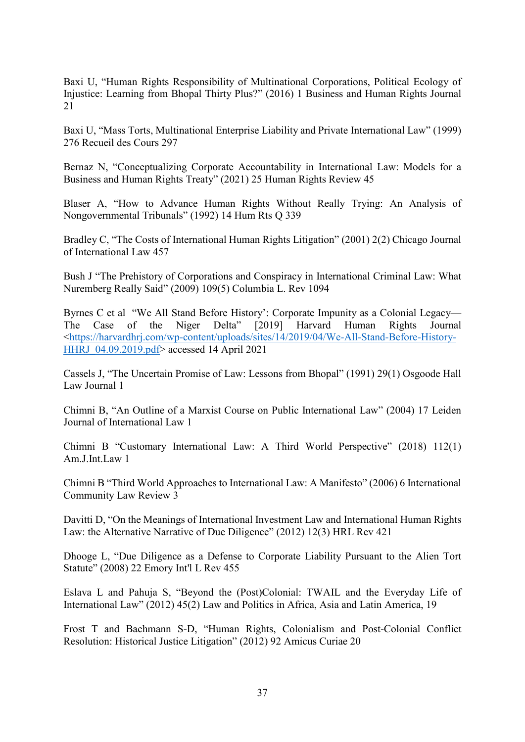Baxi U, "Human Rights Responsibility of Multinational Corporations, Political Ecology of Injustice: Learning from Bhopal Thirty Plus?" (2016) 1 Business and Human Rights Journal 21

Baxi U, "Mass Torts, Multinational Enterprise Liability and Private International Law" (1999) 276 Recueil des Cours 297

Bernaz N, "Conceptualizing Corporate Accountability in International Law: Models for a Business and Human Rights Treaty" (2021) 25 Human Rights Review 45

Blaser A, "How to Advance Human Rights Without Really Trying: An Analysis of Nongovernmental Tribunals" (1992) 14 Hum Rts Q 339

Bradley C, "The Costs of International Human Rights Litigation" (2001) 2(2) Chicago Journal of International Law 457

Bush J "The Prehistory of Corporations and Conspiracy in International Criminal Law: What Nuremberg Really Said" (2009) 109(5) Columbia L. Rev 1094

Byrnes C et al "We All Stand Before History': Corporate Impunity as a Colonial Legacy— The Case of the Niger Delta" [2019] Harvard Human Rights Journal [<https://harvardhrj.com/wp-content/uploads/sites/14/2019/04/We-All-Stand-Before-History-](https://harvardhrj.com/wp-content/uploads/sites/14/2019/04/We-All-Stand-Before-History-HHRJ_04.09.2019.pdf)[HHRJ\\_04.09.2019.pdf>](https://harvardhrj.com/wp-content/uploads/sites/14/2019/04/We-All-Stand-Before-History-HHRJ_04.09.2019.pdf) accessed 14 April 2021

Cassels J, "The Uncertain Promise of Law: Lessons from Bhopal" (1991) 29(1) Osgoode Hall Law Journal 1

Chimni B, "An Outline of a Marxist Course on Public International Law" (2004) 17 Leiden Journal of International Law 1

Chimni B "Customary International Law: A Third World Perspective" (2018) 112(1) Am.J.Int.Law 1

Chimni B "Third World Approaches to International Law: A Manifesto" (2006) 6 International Community Law Review 3

Davitti D, "On the Meanings of International Investment Law and International Human Rights Law: the Alternative Narrative of Due Diligence" (2012) 12(3) HRL Rev 421

Dhooge L, "Due Diligence as a Defense to Corporate Liability Pursuant to the Alien Tort Statute" (2008) 22 Emory Int'l L Rev 455

Eslava L and Pahuja S, "Beyond the (Post)Colonial: TWAIL and the Everyday Life of International Law" (2012) 45(2) Law and Politics in Africa, Asia and Latin America, 19

Frost T and Bachmann S-D, "Human Rights, Colonialism and Post-Colonial Conflict Resolution: Historical Justice Litigation" (2012) 92 Amicus Curiae 20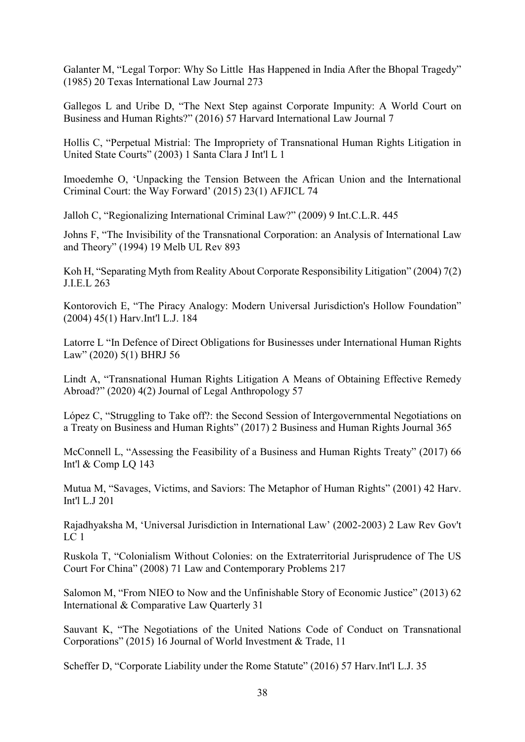Galanter M, "Legal Torpor: Why So Little Has Happened in India After the Bhopal Tragedy" (1985) 20 Texas International Law Journal 273

Gallegos L and Uribe D, "The Next Step against Corporate Impunity: A World Court on Business and Human Rights?" (2016) 57 Harvard International Law Journal 7

Hollis C, "Perpetual Mistrial: The Impropriety of Transnational Human Rights Litigation in United State Courts" (2003) 1 Santa Clara J Int'l L 1

Imoedemhe O, 'Unpacking the Tension Between the African Union and the International Criminal Court: the Way Forward' (2015) 23(1) AFJICL 74

Jalloh C, "Regionalizing International Criminal Law?" (2009) 9 Int.C.L.R. 445

Johns F, "The Invisibility of the Transnational Corporation: an Analysis of International Law and Theory" (1994) 19 Melb UL Rev 893

Koh H, "Separating Myth from Reality About Corporate Responsibility Litigation" (2004) 7(2) J.I.E.L 263

Kontorovich E, "The Piracy Analogy: Modern Universal Jurisdiction's Hollow Foundation" (2004) 45(1) Harv.Int'l L.J. 184

Latorre L "In Defence of Direct Obligations for Businesses under International Human Rights Law" (2020) 5(1) BHRJ 56

Lindt A, "Transnational Human Rights Litigation A Means of Obtaining Effective Remedy Abroad?" (2020) 4(2) Journal of Legal Anthropology 57

López C, "Struggling to Take off?: the Second Session of Intergovernmental Negotiations on a Treaty on Business and Human Rights" (2017) 2 Business and Human Rights Journal 365

McConnell L, "Assessing the Feasibility of a Business and Human Rights Treaty" (2017) 66 Int'l & Comp LQ 143

Mutua M, "Savages, Victims, and Saviors: The Metaphor of Human Rights" (2001) 42 Harv. Int'l L.J 201

Rajadhyaksha M, 'Universal Jurisdiction in International Law' (2002-2003) 2 Law Rev Gov't  $LC<sub>1</sub>$ 

Ruskola T, "Colonialism Without Colonies: on the Extraterritorial Jurisprudence of The US Court For China" (2008) 71 Law and Contemporary Problems 217

Salomon M, "From NIEO to Now and the Unfinishable Story of Economic Justice" (2013) 62 International & Comparative Law Quarterly 31

Sauvant K, "The Negotiations of the United Nations Code of Conduct on Transnational Corporations" (2015) 16 Journal of World Investment & Trade, 11

Scheffer D, "Corporate Liability under the Rome Statute" (2016) 57 Harv.Int'l L.J. 35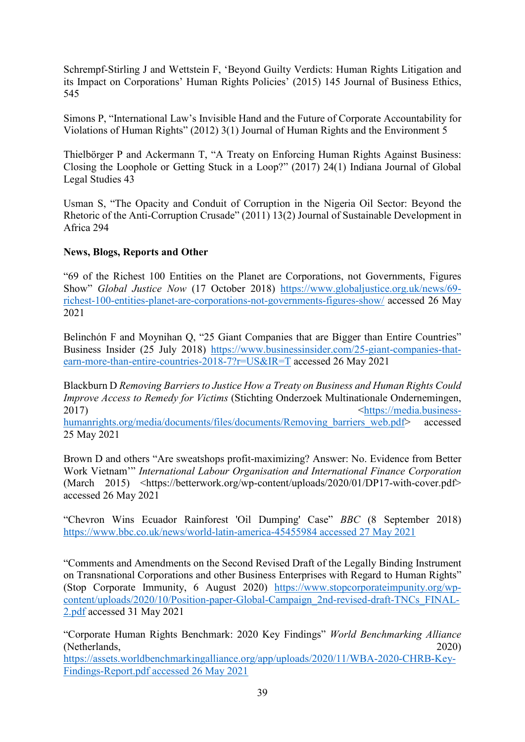Schrempf-Stirling J and Wettstein F, 'Beyond Guilty Verdicts: Human Rights Litigation and its Impact on Corporations' Human Rights Policies' (2015) 145 Journal of Business Ethics, 545

Simons P, "International Law's Invisible Hand and the Future of Corporate Accountability for Violations of Human Rights" (2012) 3(1) Journal of Human Rights and the Environment 5

Thielbörger P and Ackermann T, "A Treaty on Enforcing Human Rights Against Business: Closing the Loophole or Getting Stuck in a Loop?" (2017) 24(1) Indiana Journal of Global Legal Studies 43

Usman S, "The Opacity and Conduit of Corruption in the Nigeria Oil Sector: Beyond the Rhetoric of the Anti-Corruption Crusade" (2011) 13(2) Journal of Sustainable Development in Africa 294

# **News, Blogs, Reports and Other**

"69 of the Richest 100 Entities on the Planet are Corporations, not Governments, Figures Show" *Global Justice Now* (17 October 2018) [https://www.globaljustice.org.uk/news/69](https://www.globaljustice.org.uk/news/69-richest-100-entities-planet-are-corporations-not-governments-figures-show/) [richest-100-entities-planet-are-corporations-not-governments-figures-show/](https://www.globaljustice.org.uk/news/69-richest-100-entities-planet-are-corporations-not-governments-figures-show/) accessed 26 May 2021

Belinchón F and Moynihan Q, "25 Giant Companies that are Bigger than Entire Countries" Business Insider (25 July 2018) [https://www.businessinsider.com/25-giant-companies-that](https://www.businessinsider.com/25-giant-companies-that-earn-more-than-entire-countries-2018-7?r=US&IR=T)[earn-more-than-entire-countries-2018-7?r=US&IR=T](https://www.businessinsider.com/25-giant-companies-that-earn-more-than-entire-countries-2018-7?r=US&IR=T) accessed 26 May 2021

Blackburn D *Removing Barriers to Justice How a Treaty on Business and Human Rights Could Improve Access to Remedy for Victims* (Stichting Onderzoek Multinationale Ondernemingen, 2017) [<https://media.business](https://media.business-humanrights.org/media/documents/files/documents/Removing_barriers_web.pdf)[humanrights.org/media/documents/files/documents/Removing\\_barriers\\_web.pdf>](https://media.business-humanrights.org/media/documents/files/documents/Removing_barriers_web.pdf) accessed 25 May 2021

Brown D and others "Are sweatshops profit-maximizing? Answer: No. Evidence from Better Work Vietnam'" *International Labour Organisation and International Finance Corporation* (March 2015) <https://betterwork.org/wp-content/uploads/2020/01/DP17-with-cover.pdf> accessed 26 May 2021

"Chevron Wins Ecuador Rainforest 'Oil Dumping' Case" *BBC* (8 September 2018) [https://www.bbc.co.uk/news/world-latin-america-45455984 accessed 27 May 2021](https://www.bbc.co.uk/news/world-latin-america-45455984%20accessed%2027%20May%202021)

"Comments and Amendments on the Second Revised Draft of the Legally Binding Instrument on Transnational Corporations and other Business Enterprises with Regard to Human Rights" (Stop Corporate Immunity, 6 August 2020) [https://www.stopcorporateimpunity.org/wp](https://www.stopcorporateimpunity.org/wp-content/uploads/2020/10/Position-paper-Global-Campaign_2nd-revised-draft-TNCs_FINAL-2.pdf)[content/uploads/2020/10/Position-paper-Global-Campaign\\_2nd-revised-draft-TNCs\\_FINAL-](https://www.stopcorporateimpunity.org/wp-content/uploads/2020/10/Position-paper-Global-Campaign_2nd-revised-draft-TNCs_FINAL-2.pdf)[2.pdf](https://www.stopcorporateimpunity.org/wp-content/uploads/2020/10/Position-paper-Global-Campaign_2nd-revised-draft-TNCs_FINAL-2.pdf) accessed 31 May 2021

"Corporate Human Rights Benchmark: 2020 Key Findings" *World Benchmarking Alliance* (Netherlands, 2020) [https://assets.worldbenchmarkingalliance.org/app/uploads/2020/11/WBA-2020-CHRB-Key-](https://assets.worldbenchmarkingalliance.org/app/uploads/2020/11/WBA-2020-CHRB-Key-Findings-Report.pdf%20accessed%2026%20May%202021)[Findings-Report.pdf accessed 26 May 2021](https://assets.worldbenchmarkingalliance.org/app/uploads/2020/11/WBA-2020-CHRB-Key-Findings-Report.pdf%20accessed%2026%20May%202021)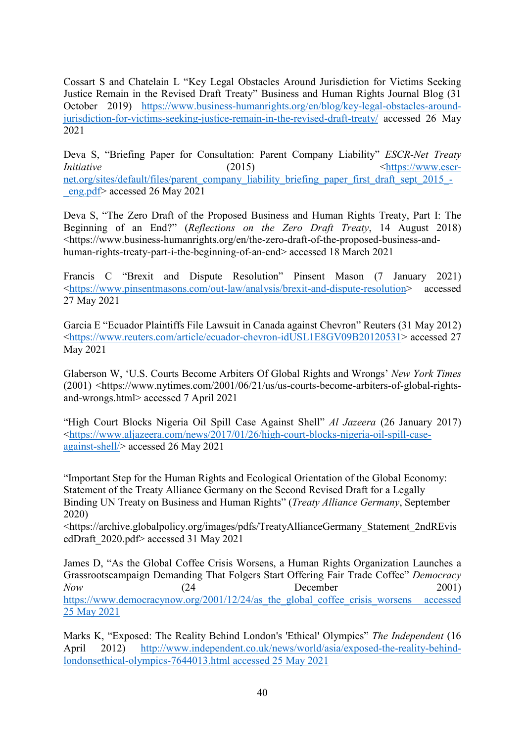Cossart S and Chatelain L "Key Legal Obstacles Around Jurisdiction for Victims Seeking Justice Remain in the Revised Draft Treaty" Business and Human Rights Journal Blog (31 October 2019) [https://www.business-humanrights.org/en/blog/key-legal-obstacles-around](https://www.business-humanrights.org/en/blog/key-legal-obstacles-around-jurisdiction-for-victims-seeking-justice-remain-in-the-revised-draft-treaty/)[jurisdiction-for-victims-seeking-justice-remain-in-the-revised-draft-treaty/](https://www.business-humanrights.org/en/blog/key-legal-obstacles-around-jurisdiction-for-victims-seeking-justice-remain-in-the-revised-draft-treaty/) accessed 26 May 2021

Deva S, "Briefing Paper for Consultation: Parent Company Liability" *ESCR-Net Treaty Initiative* (2015) [<https://www.escr](https://www.escr-net.org/sites/default/files/parent_company_liability_briefing_paper_first_draft_sept_2015_-_eng.pdf)[net.org/sites/default/files/parent\\_company\\_liability\\_briefing\\_paper\\_first\\_draft\\_sept\\_2015\\_-](https://www.escr-net.org/sites/default/files/parent_company_liability_briefing_paper_first_draft_sept_2015_-_eng.pdf) [\\_eng.pdf>](https://www.escr-net.org/sites/default/files/parent_company_liability_briefing_paper_first_draft_sept_2015_-_eng.pdf) accessed 26 May 2021

Deva S, "The Zero Draft of the Proposed Business and Human Rights Treaty, Part I: The Beginning of an End?" (*Reflections on the Zero Draft Treaty*, 14 August 2018) <https://www.business-humanrights.org/en/the-zero-draft-of-the-proposed-business-andhuman-rights-treaty-part-i-the-beginning-of-an-end> accessed 18 March 2021

Francis C "Brexit and Dispute Resolution" Pinsent Mason (7 January 2021) [<https://www.pinsentmasons.com/out-law/analysis/brexit-and-dispute-resolution>](https://www.pinsentmasons.com/out-law/analysis/brexit-and-dispute-resolution) accessed 27 May 2021

Garcia E "Ecuador Plaintiffs File Lawsuit in Canada against Chevron" Reuters (31 May 2012) [<https://www.reuters.com/article/ecuador-chevron-idUSL1E8GV09B20120531>](https://www.reuters.com/article/ecuador-chevron-idUSL1E8GV09B20120531) accessed 27 May 2021

Glaberson W, 'U.S. Courts Become Arbiters Of Global Rights and Wrongs' *New York Times* (2001) <https://www.nytimes.com/2001/06/21/us/us-courts-become-arbiters-of-global-rightsand-wrongs.html> accessed 7 April 2021

"High Court Blocks Nigeria Oil Spill Case Against Shell" *Al Jazeera* (26 January 2017) [<https://www.aljazeera.com/news/2017/01/26/high-court-blocks-nigeria-oil-spill-case](https://www.aljazeera.com/news/2017/01/26/high-court-blocks-nigeria-oil-spill-case-against-shell/)[against-shell/>](https://www.aljazeera.com/news/2017/01/26/high-court-blocks-nigeria-oil-spill-case-against-shell/) accessed 26 May 2021

"Important Step for the Human Rights and Ecological Orientation of the Global Economy: Statement of the Treaty Alliance Germany on the Second Revised Draft for a Legally Binding UN Treaty on Business and Human Rights" (*Treaty Alliance Germany*, September 2020)

<https://archive.globalpolicy.org/images/pdfs/TreatyAllianceGermany\_Statement\_2ndREvis edDraft\_2020.pdf> accessed 31 May 2021

James D, "As the Global Coffee Crisis Worsens, a Human Rights Organization Launches a Grassrootscampaign Demanding That Folgers Start Offering Fair Trade Coffee" *Democracy Now* (24 December 2001) https://www.democracynow.org/2001/12/24/as the global coffee crisis worsens accessed [25 May 2021](https://www.democracynow.org/2001/12/24/as_the_global_coffee_crisis_worsens%20accessed%2025%20May%202021)

Marks K, "Exposed: The Reality Behind London's 'Ethical' Olympics" *The Independent* (16 April 2012) [http://www.independent.co.uk/news/world/asia/exposed-the-reality-behind](http://www.independent.co.uk/news/world/asia/exposed-the-reality-behind-londonsethical-olympics-7644013.html%20accessed%2025%20May%202021)[londonsethical-olympics-7644013.html accessed 25 May 2021](http://www.independent.co.uk/news/world/asia/exposed-the-reality-behind-londonsethical-olympics-7644013.html%20accessed%2025%20May%202021)